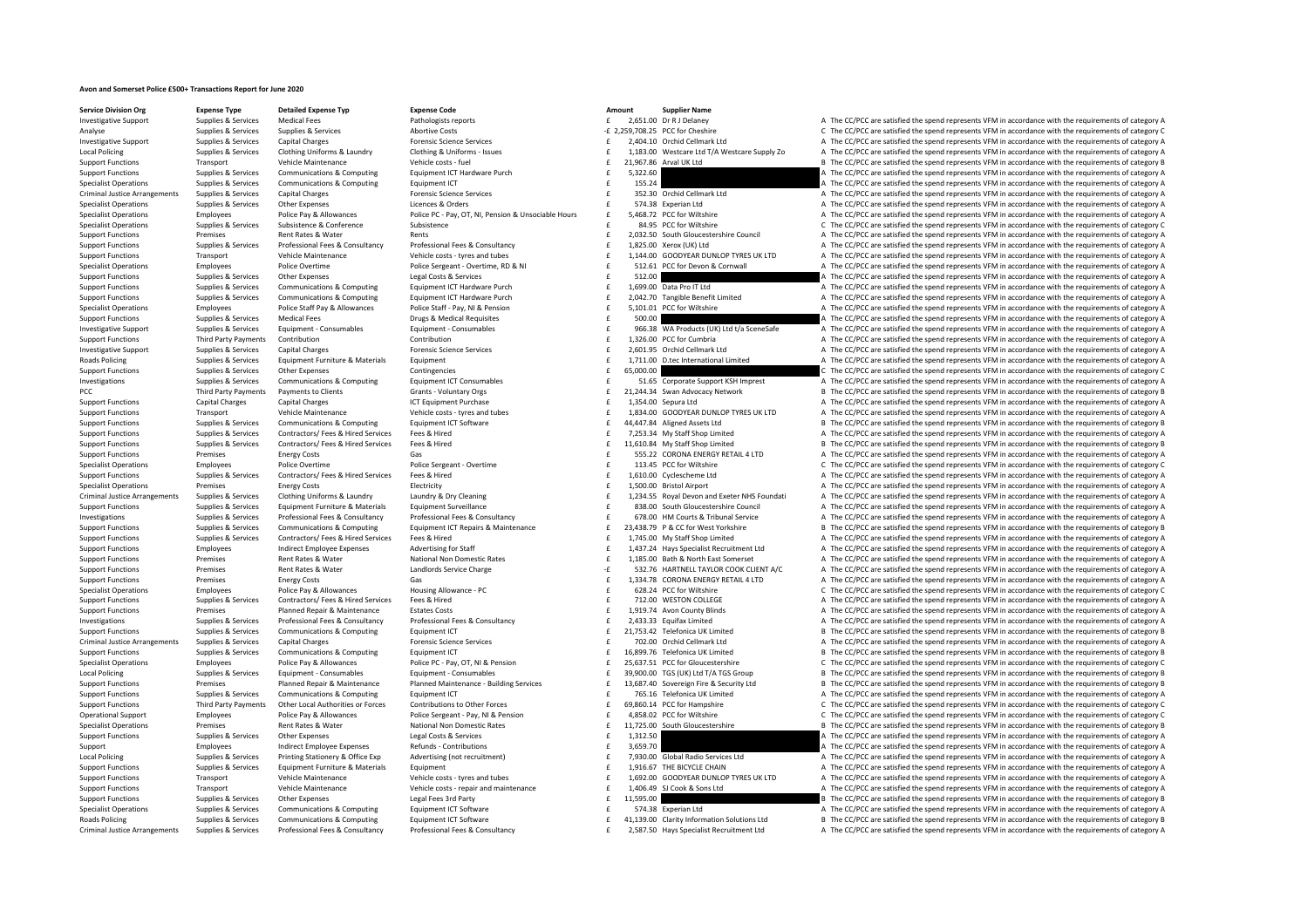## **Avon and Somerset Police £500+ Transactions Report for June 2020**

**Service Division Org Expense Type Detailed Expense Typ Expense Code Amount Supplier Name**

Investigative Support Support Support Supplies Medical Fees Pathology A The CC/PCC are satisfied the spend represents VFM in accordance with the requirements of category A

Analyse Supplies & Supplies & Services Supplies & Services Abortive Costs Abortive Costs 2,259,708.25 PCC for Cheshire C The CC/PCC are satisfied the spend represents VFM in accordance with the requirements of category C I Investigative Support Supplies & Services Capital Charges Capital Charges Procesion Support Support Support Support Support Support Support Support Support Support Support Support Support Support Support Support Support Su Local Policing Supplies & Supplies & Services Clothing Uniforms & Laundry Clothing & Uniforms - Issues Clothing Miforms - Issues Clothing Miforms - Issues Supplies and the Minimidae on the CLOTA Club and the CLOTA are advi Support Functions Transport Vehicle Maintenance Vehicle Costs - fuel Vehicle costs -fuel Vehicle costs -fuel Vehicle costs -fuel B The CC/PCC are satisfied the spend represents VFM in accordance with the requirements of ca functions Support Tunctions A The CC/PCC are satisfied the spend represents VFM in accordance with the requirements of category A Specialist Operations Supplies & Services Communications & Computing Equipment ICT examples are the spend results and the CC/PCC are satisfied the spend represents VFM in accordance with the requirements of category A Criminal Justice Arrangements Supplies & Services Capital Charges Forensic Science Services Forensic Science Services Forensic Science Services Forensic Science Services Forensic Science Services Forensic Science Services Specialist Operations Supplies & Services Other Expenses Licences Ruders A The CALIST STARE TO A The COMPOS A The CC/PCC are satisfied the spend represents VEM in accordance with the requirements of category A Specialist Operations Employees Police Pay & Allowances Police PC - Pay, OT, NI, Pension & Unsociable Hours £ 5,468.72 PCC for Wiltshire A The CC/PCC are satisfied the spend represents VFM in accordance with the requiremen Specialist Operations Supplies & Services Subsistence & Conference Subsistence Subsistence Subsistence Subsistence Subsistence Subsistence Subsistence and the spend represents of the CC/PCC are satisfied the spend represen Support Functions Premises Rent Rates & Water Rents Rents Rents Rents 2,032.50 South Gloucestershire Council A The CC/PCC are satisfied the spend represents VFM in accordance with the requirements of category A Support Functions Supplies & Services Professional Fees & Consultancy Professional Fees & Consultancy Professional Fees & Consultancy Professional Fees & Consultancy Professional Fees & Consultancy Professional Fees & Cons Support Functions Transport Vehicle Maintenance Vehicle Costs - tyres and tubes and tubes of the media of the COST CONTENT A The COPC are satisfied the spend represents VFM in accordance with the requirements of category A Contract of the Contract Contract Contract Contract Contract Contract Contract Contract Contract Contract Contract Contract Contract Contract Contract Contract Contract Contract Contract Contract Contract Contract Contract Support Functions Supplies & Services Other Expenses Legal Costs & Services Legal Costs & Services Support Let<br>
Support Functions Support Functions Support Support Communications & Computing Equipment ICT Hardware Purch an 1,699.00 Data Pro IT Ltd A The CC/PCC are satisfied the spend represents VFM in accordance with the requirements of category A Support Functions Supplies & Services Communications & Computing Equipment ICT Hardware Purch and the space of the CC/PCC are satisfied the spend represents VFM in accordance with the requirements of category A recorded to Specialist Operations Employees Police Staff Pay & Allowances Police Staff - Pay, NI & Pension Public Pay and Pay and Pay and PEC for Wiltshire Allows Curry Andreasure and the CC/PCC are satisfied the spend represents VFM Support Functions Supplies & Services Medical Fees Drugs & Medical Requisites Drugs & Medical Requisites Drugs & Medical Requisites Functions and the CC/PCC are satisfied the spend represents VFM in accordance with the req Investigative Support Supplies & Services Equipment - Consumables Equipment - Consumables Equipment - Consumables Equipment - Consumables and the media of the COPCC are satisfied the spend represents VFM in accordance with Support Functions Third Party Payments Contribution Contribution Contribution Contribution Contribution Contribution A The CC/PCC are satisfied the spend represents VFM in accordance with the requirements of category A Investigative Support Supplies & Services Capital Charges Forensic Science Services 2,601.95 £ Orchid Cellmark Ltd A The CC/PCC are satisfied the spend represents VFM in accordance with the requirements of category A Roads Policing Contract Supplies & Supplies & Supplies & Supplies & Contract Contract Contract Contract Contract Contract Contract Contract Contract Contract Contract Contract Contract Contract Contract Contract Contract C Support Functions Supplies Services Other Expenses Contingencies  $\epsilon$  5,000.00  $\epsilon$  5,000.00  $\epsilon$  5,000.000 accords of category C The CC/PCC are satisfied the spend represents VFM in accordance with the requirements of cat 1999 Supplies & Supplies & Services Communications & Computing Equipment ICT Consumables and the Support KSH imprest Computer A The CC/PCC are satisfied the spend represents VFM in accordance with the requirements of categ PCC Third Party Payments Payments to Clients Grants ‐ Voluntary Orgs 21,244.34 £ Swan Advocacy Network <sup>B</sup> The CC/PCC are satisfied the spend represents VFM in accordance with the requirements of category B Support Functions Capital Charges Capital Charges Capital Charges ICT Equipment Purchase 1,354.00 Sepura Ltd A The CC/PCC are satisfied the spend represents VFM in accordance with the requirements of category A Vehicle Mai Support Functions Transport Centre Content of the Maintenance Vehicle Maintenance Vehicle Costs - types and tubes of the Maintenance vehicle Costs - types and tubes of the COST 1,834.00 GOODYEAR DUNLOP TYRES UK LID A The C Support Functions Supplies & Services Communications & Computing Equipment ICT Software exacts are exacts and the space of the C/PCC are satisfied the spend represents VFM in accordance with the requirements of category B<br> Support Functions Supplies & Services Contractors/Fees & Hired Fees & Hired Fees & Hired Fees & Hired Fees & Hired Fees & Hired Fees & Hired Fees & Hired Fees & Hired Fees & Hired Fees & Hired Fees & Hired Fees & Hired Fee £ 11,610.84 My Staff Shop Limited B The CC/PCC are satisfied the spend represents VFM in accordance with the requirements of category B Support Functions Premises Energy Costs Gas Gas Gas Costs Gas Content Content Costs Gas 555.22 CORONA ENERGY RETAIL 4 LTD A The CC/PCC are satisfied the spend represents VFM in accordance with the requirements of category Specialist Operations Employees Police Overtime Police Sergeant - Overtime Police Sergeant - Overtime Police Sergeant - Overtime and the CALISA PCC for Wiltshire C The CC/PCC are satisfied the spend represents VFM in accor Support Functions Supplies & Services Contractors/ Fees & Hired Services Fees & Hired Services Fees & Hired Services Fees & Hired A The CC/PCC are satisfied the spend represents VFM in accordance with the requirements of c Specialist Operations Premises Energy Costs Energy Costs Electricity Electricity Interview Electricity 1,500.00 Bristol Airport A The CC/PCC are satisfied the spend represents VFM in accordance with the requirements of cat £ 1,234.55 Royal Devon and Exeter NHS Foundati A The CC/PCC are satisfied the spend represents VFM in accordance with the requirements of category A Supplies & Services Equipment Furniture & Materials Equipment Surveillance surveillance the state of the S38.00 South Gloucestershire Council A The CC/PCC are satisfied the spend represents VFM in accordance with the requi Supplies & Services Professional Fees & Consultancy Professional Fees & Consultancy Professional Fees & Consultancy Professional Fees & Consultancy Professional Fees & Consultancy Professional Fees & Consultancy Profession Supplies & Services Communications & Computing Equipment ICT Repairs & Maintenance (23.438.79 P & CC for West Yorkshire Bureau B The CC/PCC are satisfied the spend represents VFM in accordance with the requirements of cate Support Functions Supplies & Services Contractors/ Fees & Hired Services Fees & Hired Fired The Support Face of the CC/PCC are satisfied the spend represents VFM in accordance with the requirements of category A Employees 
Support Functions and provides the requirements of category Advertising for Staff and the special of the CC/PCC are satisfied the spend represents VFM in accordance with the requirements of category A and the Su Support Functions Premises Rent Rates & Water National Non Domestic Rates 1,185.00 Bath & North East Somerset A The CC/PCC are satisfied the spend represents VFM in accordance with the requirements of category A Support Functions Premises Rent Rates & Water and and and and the comparison of the C/PCC are satisfied the spend represents VFM in accordance with the requirements of category A and the C/PCC are satisfied the spend repre Support Functions Premises Energy Costs Gas Gas Support Content Content Content Content Content Content Content Content Content Content Content Content Content Content Content Content Content Content Content Content Conten Specialist Operations Employees Police Pay & Allowances Housing Allowance - PC 628.24 PCC for Wiltshire COM COLLEGE COPCC are satisfied the spend represents VFM in accordance with the requirements of category C Support Fun Support Functions Supplies & Services Contractors/Fees & Hired Fees & Hired Fees & Hired Fees & Hired Fees & Hired Fees & Hired Fees & Hired Fees & Hired Fees & Hired Fees & Hired Fees & Hired Fees and Fees and Fees and Fe Support Functions Premises Planned Repair & Maintenance Estates Costs 1,919.74 Avon County Blinds A The CC/PCC are satisfied the spend represents VFM in accordance with the requirements of category A Supplies & Services Professional Fees & Consultancy Professional Fees & Consultancy Professional Fees & Consultancy Consultancy and the CAS Equitar Limited and The CC/PCC are satisfied the spend represents VFM in accordanc Support Functions Supplies & Services Communications & Computing Equipment ICT 21,753.42 Telefonica UK Limited B The CC/PCC are satisfied the spend represents VFM in accordance with the requirements of category B The CC/PC Criminal Justice Arrangements Supplies & Services Capital Charges Capital Charges Procession Ceremic Supplies Communications & Computing Communications & Computing Communications and Computing Cuppent CT of 16,899.76 Telef Support Functions Supplies & Services Communications & Computing Equipment ICT Equipment ICT 16,899.76 Telefonica UK Limited B The CC/PCC are satisfied the spend represents VFM in accordance with the requirements of catego Employees Police Pay & Allowances Police Pc - Pay, OT, NI & Pension E 25,637.51 PCC for Gloucestershire C The CC/PCC are satisfied the spend represents VFM in accordance with the requirements of category C Sunnies & Services Foujoment Consumables Foujoment Consumables Foujoment Consumables Foujoment Consumables Foujoment Consumables of 39,900.00 TGS (UK) I to The CC/PCC are satisfied the spend represents VFM in accordance wi Support Functions Premises Premises Planned Repair & Maintenance Planned Maintenance Planned Maintenance Building Services **f** 13,687.40 Sovereign Fire & Security Ltd B The CC/PCC are satisfied the spend represents VFM in Support Functions Supplies & Services Communications & Computing Equipment ICT Equipment ICT and the COME of The CC/PCC are satisfied the spend represents VFM in accordance with the requirements of category A support Funct Third Party Payments Other Local Authorities or Forces Contributions to Other Forces on thirductions to Other Forces on the Security of the Security of the COPCC are satisfied the spend represents VFM in accordance with th Operational Support Employees Police Pay & Allowances Police Sergeant - Pay, NI & Pension Employees Police Sergeant - Pay, NI & Pension F 4.858.02 PCC for Wiltshire C/PCC are satisfied the spend represents VFM in accordanc Specialist Operations Premises Rent Rates & Water National Non Domestic Rates 11,725.00 South Gloucestershire B The CC/PCC are satisfied the spend represents VFM in accordance with the requirements of category B Support Functions Supplies & Services Other Expenses Legal Costs & Services Legal Costs & Services 2001 E 1,312.50 A The CC/PCC are satisfied the spend represents VFM in accordance with the requirements of category A The C Support Employees and intert Employee Expenses Refunds Contributions and Expenses Refunds Contributions and the Support and the CC/PCC are satisfied the spend represents VFM in accordance with the requirements of category Supplies & Services Printing Stationery & Office Exp Advertising (not recruitment)  $\epsilon$  7,930.00 Global Radio Services Ltd A The CC/PCC are satisfied the spend represents VFM in accordance with the requirements of category Support Functions Supplies & Services Equipment Furniture & Materials Equipment 1,916.67 THE BICYCLE CHAIN A The CC/PCC are satisfied the spend represents VFM in accordance with the requirements of category A Transport Wehicle Maintenance Vehicle costs - tyres and tubes Fund to the COVEAR DUNLOP TYRES UK LTD A The CC/PCC are satisfied the spend represents VFM in accordance with the requirements of category A Support Eurotions Transport Vehicle Maintenance Vehicle Content Vehicle costs - repair and maintenance vehicle costs - repair and maintenance and the maintenance of the maintenance of the specific of the CCPC are satisfied Support Functions Supplies & Services Other Expenses Legal Fees 3rd Party expendent CT Solid Fees and the States of the States of the States of the States of the States of the States of the States of the States of the Stat Supplies & Supplies & Supplies & Communications & Computing Equipment ICT Software examples and the S74.38 Experian Ltd A The CC/PCC are satisfied the spend represents VFM in accordance with the requirements of category A Roads Policing Supplies & Supplies & Services Communications & Computing Equipment ICT Software Equipment ICT Software 1 1139.00 Clarity Information Solutions Ltd B The CC/PCC are satisfied the spend represents VFM in acco Criminal Justice Arrangements Supplies & Services Professional Fees & Consultancy Professional Fees & Consultancy Professional Fees & Consultancy Professional Fees & Consultancy Professional Fees & Consultancy Professional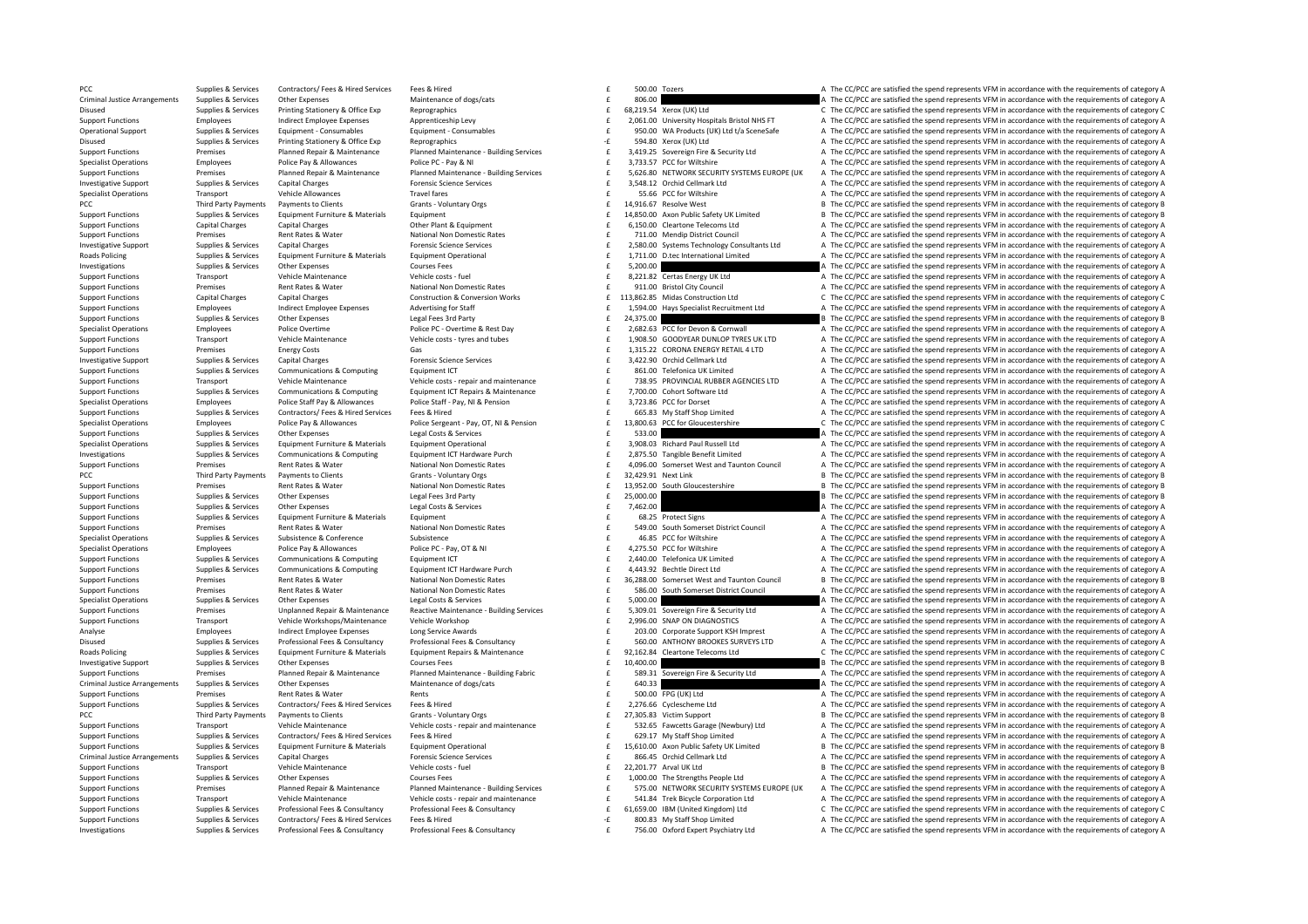PCC Supplies & Services Contractors/ Fees & Hired Fees & Hired Services Fees & Hired The Services Fees & Hired The Services Fees & Hired The Services Fees & Hired The Services Fees & Hired The Services Fees & Hired The Ser Criminal Justice Arrangements Supplies & Services Other Expenses Maintenance of dogs/cats 806.00 **Expendition** and a The CC/PCC are satisfied the spend represents VFM in accordance with the requirements of category A Disused Supplies & Services Printing Stationery & Office Exp Reprographics Reprographics 68,219.54 Xerox (UK) Ltd C The CC/PCC are satisfied the spend represents VFM in accordance with the requirements of category C Suppor Employees and the consumer of the consumer consumers and the consumers of the consumers and the consumers and the consumers and the consumers of category and the consumers and the consumers of category and the consumers of Operational Support Supplies & Services Equipment - Consumables Consumables Equipment - Consumables Equipment - Consumables exact a member of the SUAL of the CONSULT A The CC/PCC are satisfied the spend represents VFM in a Disused Supplies & Services Printing Stationery & Office Exp Reprographics 694.80 Microsoft Category A The CC/PCC are satisfied the spend represents VFM in accordance with the requirements of category A Enterprise Support Functions and the sequence of Premises Planned Repair & Maintenance Planned Maintenance Building Services and the 3,419.25 Sovereign Fire & Security Ltd A The CC/PCC are satisfied the spend represents VF Specialist Operations Employees Police Pay & Allowances Police PC - Pay & NI 3,93.57 POC for Wiltshire A The CC/PCC are satisfied the spend represents VFM in accordance with the requirements of category A Support Functions Planned Repair & Maintenance Planned Maintenance - Building Services 6 16,626.80 NETWORK SECURITY SYSTEMS EUROPE (UK A The CC/PCC are satisfied the spend represents VFM in accordance with the requirements of category A Investigative Supplies & Services Capital Charges Forensic Science Services Forensic Science Services Forensic Science Services and the Supplies & Services Capital Charges Forensic Science Services and the Services of cate Specialist Operations Transport Vehicle Allowances Travel fares Travel fares Travel fares a specialist Operations Transport Vehicle Allowances Travel fares a specialist Operations Transport Vehicle Allowances Travel fares PCC Third Party Payments Payments to Clients Grants - Voluntary Orgs Server Server Manus 2012 14,916.67 Resolve West B The CC/PCC are satisfied the spend represents VFM in accordance with the requirements of category B Support Functions Supplies & Services Equipment Furniture & Materials Equipment Europy E 14,850.00 Axon Public Safety UK Limited B The CC/PCC are satisfied the spend represents VFM in accordance with the requirements of ca Support Functions Capital Charges Capital Charges Capital Charges Other Plant & Equipment Charges Other Plant & Equipment 6,150.00 Cleartone Telecoms Ltd A The CC/PCC are satisfied the spend represents VFM in accordance wi Support Functions Premises Rent Rates Rent Rates Rent Rates National Non Domestic Rates Premises Rent Rates Rent Rates Rent Rates Rent Rates Rent Rates Rent Rates Rent Rates Rent Rates Rent Rates Rent Rates Rent Rates Rent 1.1100 Tuestigative Support Supplies & Services Capital Charges Capital Charges Forensic Science Services Forensic Science Services Forensic Science Services Forensic Science Services Forensing Support and the CC/PCC are s Supplies & Services Equipment Furniture & Materials Equipment Operational and the content of the C/PCC are satisfied the spend represents VFM in accordance with the requirements of category A and Supplies & Services Conten Investigations Supplies & Services Other Expenses Courses Fees Courses Fees Courses Fees Courses Fees Courses Fees Courses Fees Courses Fees Courses Fees Courses Fees Courses Fees Courses Fees Courses Fees Courses Fees Cou Support Functions Transport Vehicle Maintenance Vehicle Costs - fuel Vehicle costs -fuel 8,221.82 <br>Support Functions and Democration of The CC/PCC are satisfied the spend represents VFM in accordance with the requirements Premises Rent Rates & Water Mational Non Domestic Rates Functions Premises and A The CC/PCC are satisfied the spend represents VFM in accordance with the requirements of category A Capital Charges Capital Charges Capital Charges Construction & Conversion Works F 113.862.85 Midas Construction I td C. The CC/PCC are satisfied the spend represents VFM in accordance with the requirements of category C Support Functions Employees Employees Indirect Employee Expenses Advertising for Staff and Figure 1,594.00 Hays Specialist Recruitment Ltd A The CC/PCC are satisfied the spend represents VFM in accordance with the requirem Support Functions Supplies Services Other Expenses Legal Fees 3rd Party 24,375.00 **£ 24,375.00 E 24,375.00 E 24,95 Å are satisfied the spend represents VFM in accordance with the requirements of category B** Specialist Operations Employees Police Overtime Police PC-Overtime & Rest Day Content 2,682.63 PCC for Devon & Cornwall A The CC/PCC are satisfied the spend represents VFM in accordance with the requirements of category A Transport Vehicle Maintenance Vehicle costs - tyres and tubes and the season of the COPOYEAR DUNLOP TYRES UK LTD A The CC/PCC are satisfied the spend represents VFM in accordance with the requirements of category A Support Functions Premises Energy Costs Gas Gas Gas and Consumer Consumer Costs Gas 1,315.22 CORONA ENERGY RETAIL 4 LTD A The CC/PCC are satisfied the spend represents VFM in accordance with the requirements of category A Example a communication of the control control capital Charges and the control capital charges and the control of the control of the control of the control of the control of the control of the control of the control of the Sunnert European Sunniac & Services Communications & Communications & Communications & Communications & Communications Fourierm Fundament CT COM Telefonica III Limited a The CC/DCC are catisfied the spend paraceants VEM in Vehicle Maintenance Meridie or and the Maintenance Vehicle of the Vehicle costs - repair and maintenance<br>
Support Functions Support Support Support Support Support Support Support Support Support Support Support Support Su f 7,700.00 Cohort Software Ltd **A** The CC/PCC are satisfied the spend represents VFM in accordance with the requirements of category A Specialist Operations Employees Police Staff Pay & Allowances Police Staff - Pay, NI & Pension Police Staff - Pay, NI & Pension Engine and the State of Allowances Police Staff - Pay, NI & Pension Figure 2007 A The CC/PCC a Supplies & Services Contractors/Fees & Hired Fees & Hired Fees & Hired Fees & Hired Contractors/Fees & Hired Fees & Hired Fees & Hired Fees & Hired Fees & Hired Fees & Hired Fees & Hired Fees & Hired Fees & Hired Fees & Hi Specialist Operations Employees Police Pay & Allowances Police Pay and Police Pay and Police Pay and Police Pay and Police Pay and Police Pay and Police Pay and Police Pay and Police Pay and Police Pay and Police Pay and P Support Functions Supplies & Services Other Expenses Legal Costs & Services Support Costs & Services Support Derational and the Samuel Costs & Services Support Derational Special Equipment Derational Special Support Develo Supplies & Services Equipment Furniture & Materials Equipment Operational examples of the Services Equipment Operational Equipment Operational examples and the CO/PCC are satisfied the spend represents VFM in accordance wi Supplies & Services Communications & Computing Equipment ICT Hardware Purch that the content of category A The CC/PCC are satisfied the spend represents VFM in accordance with the requirements of category A Support Functions Premises Rent Rates & Water Mational Non Domestic Rates and the COPCC are satisfied the spend represents VFM in accordance with the requirements of category A<br>
Third Party Payments Payments to Clients Cli PCC Third Party Payments Payments to Clients Grants View Grants View Control of the COLOGY Category B The CC/PCC are satisfied the spend represents VFM in accordance with the requirements of category B Support Functions Premises Rent Rates & Water National Non Domestic Rates and the material Chates and a spend of the CC/PCC are satisfied the spend represents VFM in accordance with the requirements of category B Support F E 25,000.00 **EXPENSES ARTS CONSERVICES ARTS ARTS FUNCTIONS SUPPLIES ARTS ARTS 25,000.00 EXPENSIONS B** The CC/PCC are satisfied the spend represents VFM in accordance with the requirements of category B Support Functions Supplies & Services Other Expenses Legal Costs & Services Legal Costs & Services **2,462.00 E 7,462.00 A** The CC/PCC are satisfied the spend represents VFM in accordance with the requirements of catego Support Functions Supplies & Services Equipment Furniture & Materials Equipment 68.25 Protect Signs A The CC/PCC are satisfied the spend represents VFM in accordance with the requirements of category A Sunnort Euroritors Capacity of the Control of Capacity of the Control of the Control of the Control of the Control of the Control of the Control of the Control of the Control of the Control of the Control of the Control of Specialist Operations Supplies & Services Subsistence A Conference Subsistence Subsistence Subsistence Subsistence and the A The CC/PCC are satisfied the spend represents VFM in accordance with the requirements of category Specialist Operations Employees Police Pay & Allowances Police PC - Pay, OT & NI 4,275.50 PCC for Wiltshire Multiple A The CC/PCC are satisfied the spend represents VFM in accordance with the requirements of category A Sup Support Functions Supplies & Services Communications & Computing Equipment ICT 2,440.00 Telefonica UK Limited A The CC/PCC are satisfied the spend represents VFM in accordance with the requirements of category A Support Functions Supplies & Services Communications & Computing Equipment ICT Hardware Purch the service of the A443.92 Bechtle Direct Ltd A43.92 Bechtle Direct Ltd A443.92 Bechtle Direct Ltd A The CC/PCC are satisfied th Support Functions Premises Rent Rates & Water Mational Non Domestic Rates and the Second of the CC/PCC are satisfied the spend represents VFM in accordance with the requirements of category B<br>Support Functions and paramete Sunnort Eunctions Strain and Promises Research Path Path Strains Notinal Non Domestic Rates National Non Domestic Rates and CONSCRIPTION A The CONCERT A The CONCERT A The CONCERT A The CONCERT A The CONCERT A The CONCERT A Specialist Operations Supplies & Services Other Expenses Legal Costs & Services Legal Costs & Services Supplies & Services and the COST Specialist Operations A The CC/PCC are satisfied the spend represents VFM in accordanc Support Functions Premises Unplanned Repair & Maintenance Reactive Maintenance ‐ Building Services 5,309.01 £ Sovereign Fire & Security Ltd A The CC/PCC are satisfied the spend represents VFM in accordance with the requirements of category A Support Functions Transport Vehicle Workshops/Maintenance Vehicle Workshop 2,996.00 ENAP 2,996.00 SNAP ON DIAGNOSTICS A The CC/PCC are satisfied the spend represents VFM in accordance with the requirements of category A Analyse Employees Indirect Employee Expenses Long Service Awards Long Service Awards 203.00 Corporate Support KSH Imprest A The CC/PCC are satisfied the spend represents VFM in accordance with the requirements of category Supplies & Services Professional Fees & Consultancy Professional Fees & Consultancy Professional Fees & Consultancy<br>Roads Policing Consultance on Capaceae and Consultance of the Supplies of the CC/PCC are satisfied the spe Roads Policing Supplies & Supplies & Supplies & Supplies & Supplies & Supplies & Supplies & Supplies & Supplies & Supplies & Supplies & Materials Equipment Fepalis & Materials Equipment Repairs & Maintenance and the 92,162 Investigative Support Supplies & Services Other Expenses Courses Fees Courses Fees Courses Fees Courses Fees Courses Fees 10,400.00 E 10,400.00 B The CC/PCC are satisfied the spend represents VFM in accordance with the req Support Functions Premises Planned Renair & Maintenance Planned Maintenance Building Fabric 6 589.31 Sovereign Fire & Security Itd A The CC/PCC are satisfied the spend represents VFM in accordance with the requirements of Criminal Justice Arrangements Supplies & Services Other Expenses Maintenance of dogs/cats Maintenance of dogs/cats Maintenance of dogs/cats 640.33  $\pm$  500.00 FPG (IVK) Ltd and The CC/PCC are satisfied the spend represents Support Functions Premises Rent Rates & Water Rents Rents Rents Rents Rents Rents Rents Rents Rents Rents Rents Rents Rents Rents Rents Rents Rents Rents Rents Rent Rents Rents Rents Rents Fees & Hired Support Functions A Support Functions Supplies & Services Contractors/ Fees & Hired Fees & Hired Fees & Hired Fees & Hired Press, Press, 2008, 2008, 2008, 2008, 2008, 2008, 2008, 2008, 2008, 2008, 2008, 2,276.66 Cyclescheme Ltd A The CC/PCC a Grants - Voluntary Orgs 27,305.83 Victim Support B The CC/PCC are satisfied the spend represents VFM in accordance with the requirements of category B Transport Wehicle Maintenance Vehicle costs - repair and maintenance Certain and maintenance Certain Case of the CC/PCC are satisfied the spend represents VFM in accordance with the requirements of category A Support Functions Supplies & Services Contractors/Fees & Hired Free & Hired Fees & Hired Fees & Hired Fees & Hired Fees & Hired Fees & Hired Fees & Hired Fees & Hired Fees & Hired Fees & Hired Fees & Hired Fees & Hired Fee Sunnort Eugenions Sunniles & Services Faultament Furniture & Materials Faultament Operational Sunnort Customer CONS on the CONSTATE State of category R The CONSTATE CONSTATES CONSTATES (CONSTATES) From the construction of Criminal Justice Arrangements Supplies & Services Capital Charges Material Premaic Science Services Forensic Science Services Forensic Science Services and the Services of the Support Functions and premains of category A V Support Functions Transport Vehicle Maintenance Vehicle costs - fuel and the Vehicle costs - fuel 22,201.77 Arval UK Ltd B The CC/PCC are satisfied the spend represents VFM in accordance with the requirements of category B Support Functions Supplies & Services Other Expenses Courses Fees Courses Fees Courses Fees Courses Fees a Courses Fees a Courses Fees a Courses Fees a Face of the Strengths People Ltd A The CC/PCC are satisfied the spend Support Functions Premises Planned Repair & Maintenance Planned Maintenance Building Services E 575.00 NETWORK SECURITY SYSTEMS EUROPE (UK A The CC/PCC are satisfied the spend represents VFM in accordance with the requirem Sunnort Eunctions Transport Vehicle Maintenance Vehicle Maintenance Vehicle crist-renair and maintenance CALLA CALLA Trek Ricycle Corporation I td a The CC/PCC are satisfied the spend represents VEM in accordance with the Support Functions Supplies & Services Professional Fees & Consultancy Professional Fees & Consultancy Professional Fees & Consultancy Consultancy and the CONS CONSULTAN CONSULTANCY CONSULTANCY CONSULTANCY CONSULTANCY CONSU Support Functions Supplies & Services Contractors/ Fees & Hired Services Fees & Hired Fees & Hired Fees & Hired Fees & Hired Fees & Hired Fees & Hired Fees & Hired Fees & Hired Fees & Hired Fees & Hired Fees & Hired Fees & Supplies & Services Professional Fees & Consultancy Professional Fees & Consultancy Professional Fees & Consultancy Professional Fees & Consultancy Professional Fees & Consultancy Professional Fees & Consultancy Profession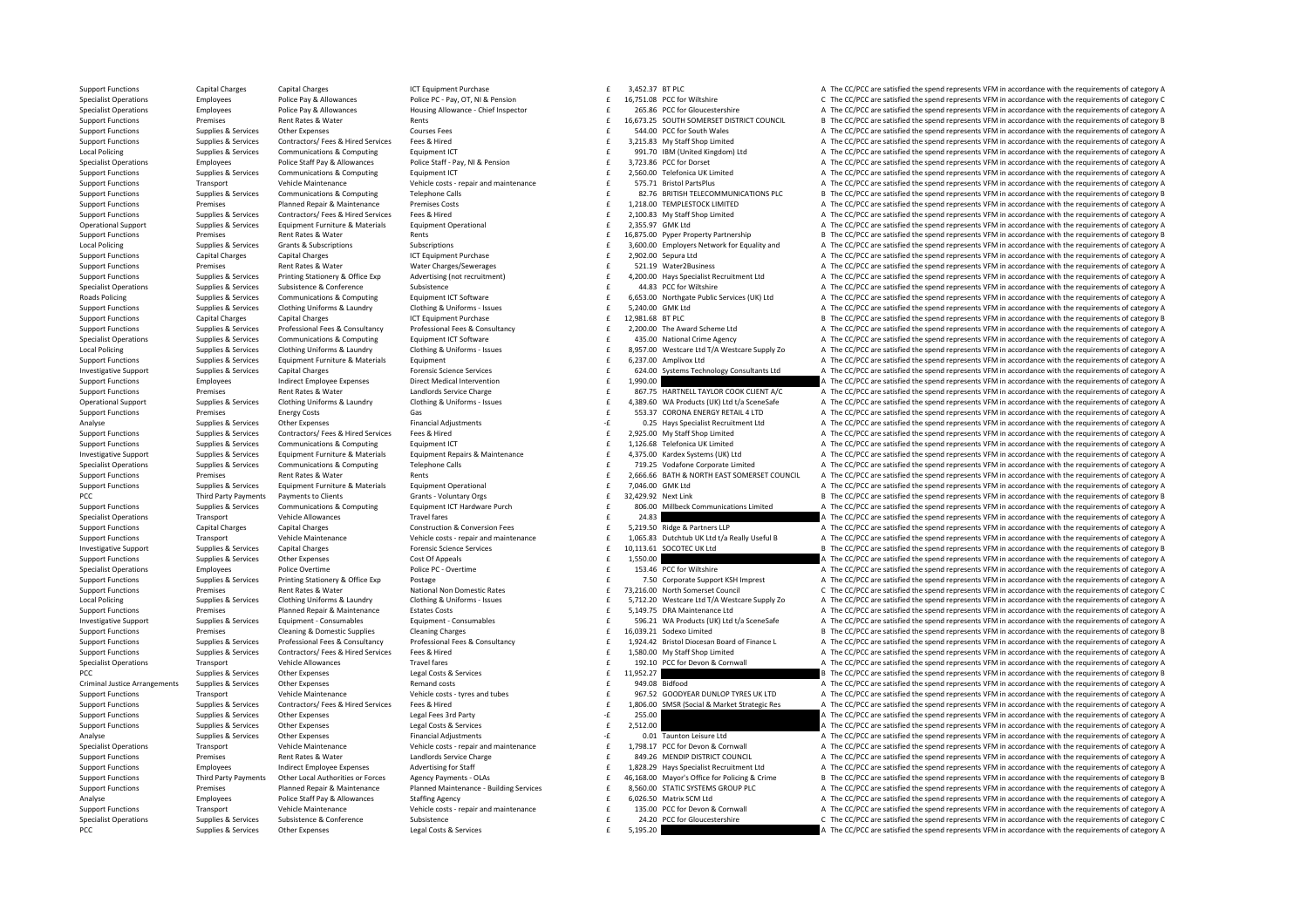Support Functions Capital Charges Capital Charges ICT Equipment Purchase 3,452.37 BTPLC A The CC/PCC are satisfied the spend represents VFM in accordance with the requirements of category A Specialist Operations Specialist Operations Fundatory Englangers Police Pay & Allowances Police Pay OT. NI & Pension Profect Developments of category C. The CC/PCC are satisfied the spend represents VFM in accordance with Specialist Operations Employees Police Pay & Allowances Housing Allowance - Chief Inspector and the COSSE PCC for Gloucestershire and The CC/PCC are satisfied the spend represents VFM in accordance with the requirements of Premises Rent Rates & Water Rents Rents Rents Rents Rents Rents Rents Council B The CC/PCC are satisfied the spend represents VFM in accordance with the requirements of category B Support Functions Supplies & Services Other Expenses Courses Courses Fees Support Fees a curses Fees a curses Fees Fees a The Support Functions A The CC/PCC are satisfied the spend represents VFM in accordance with the req Support Functions Supplies & Services Contractors/ Fees & Hired Services Fees & Hired Fees Contractors/ Fees & Hired Services Fees & Hired Services Fees & Hired Services Fees & Hired Services Fees & Hired Services Fees & H Local Policing Sunning Sunning Services Communications & Communications & Communications & Communications & Communications Fourthment CT COM COMMUNICATE ON THE COMMUNICATE A The CC/PCC are satisfied the spend represents VF Specialist Operations Employees Police Staff Pay & Allowances Police Staff - Pay, NI & Pension Police Staff - Pay, NI & Pension Employees Police Staff - Pay, NI & Pension Support Functions A Computing Category A The CC/PCC £ 2,560.00 Telefonica UK Limited **A** The CC/PCC are satisfied the spend represents VFM in accordance with the requirements of category A Transport Wehicle Maintenance Vehicle costs - repair and maintenance Childe costs - repair and maintenance of the S75.71 Bristol PartsPlus A The CC/PCC are satisfied the spend represents VFM in accordance with the requirem Support Functions Supplies & Services Communications & Computing Telephone Calls Computing Telephone Calls E and the S2.76 BRITISH TELECOMMUNICATIONS PLC B The CC/PCC are satisfied the spend represents VFM in accordance wi Support Functions Premises Planned Repair & Maintenance Premises Costs 6 1,218.00 TEMPLESTOCK LIMITED A The CC/PCC are satisfied the spend represents VFM in accordance with the requirements of category A Support Functions Supplies & Services Contractors/ Fees & Hired Services Fees & Hired Fired The Support Face of the CC/PCC are satisfied the spend represents VFM in accordance with the requirements of category A Operational Support Supplies & Services Equipment Furniture & Materials Equipment Operational 2,355.97  $\epsilon$  2,355.97 GMK Ltd A The CC/PCC are satisfied the spend represents VFM in accordance with the requirements of catego Support Functions Premises Rent Rates & Water Rents Rents Rents Rents 16,875.00 Pyper Property Partnership B The CC/PCC are satisfied the spend represents VFM in accordance with the requirements of category B Cumplies & Services Grants & Subscriptions Subscriptions Subscriptions Subscriptions Subscriptions Subscriptions Subscriptions Control of California Control of California Cumpliant Control of Category A The CC/PC are satis Support Functions Capital Charges Capital Charges Capital Charges ICT Equipment Purchase 2,902.00 Sepura Ltd A The CC/PCC are satisfied the spend represents VFM in accordance with the requirements of category A The CC/PCC Support Functions Premises Rent Rates Rent Rates Rent Rates Rent Charges Charges a Control of the Support of Category A The CC/PCC are satisfied the spend represents VFM in accordance with the requirements of category A Th Support Functions Supplies & Services Printing Stationery & Office Exp Advertising (not recruitment) and the A200.00 Hays Specialist Recruitment Ltd A The CC/PCC are satisfied the spend represents VFM in accordance with th Specialist Operations Supplies A The CC/PCC are satisfied the spend represents VFM in accordance with the requirements of category A Roads Policing Supplies & Supplies & Supplies & Communications & Computing Equipment ICT Software expect that the Supplies Control of the Supplies Assemblic Services (UK) Ltd a The CC/PCC are satisfied the spend represents Supplies Supplies & Services Clothing Uniforms & Laundry Clothing & Uniforms - Issues<br>Support Eurothing Canital Characters (Canital Characters Canital Characters Canital Characters Canital Charact<br>Canital Characters Canita Support Functions Capital Charges Capital Charges Capital Charges ICT Equipment Purchase 12,981.68 ET DIC Result Both PLC Providence Results and represents VFM in accordance with the requirements of category B Support Functions Supplies & Services Professional Fees & Consultancy Professional Fees & Consultancy Professional Fees & Consultancy Professional Fees & Consultancy Consultancy and the Mark 2,200.00 The Award Scheme Ltd M 435.00 National Crime Agency (A) The CC/PCC are satisfied the spend represents VFM in accordance with the requirements of category A<br>8.957.00 Westcare Ltd T/A Westcare Supply Zo (A) The CC/PCC are satisfied the spend repre Sunniles & Services Clothing Uniforms & Laundry Clothing Buildroms - Supes Clothing Buildroms - Issues f 8.957.00 Westcare Htd T/A Westcare Sunniv Zo A The CC/PCC are satisfied the spend represents VFM in accordance with t Support Functions Supplies & Services Equipment Furniture & Materials Equipment Functions Equipment Functions and Details and A The CC/PCC are satisfied the spend represents VFM in accordance with the requirements of categ invastigative Curry of the Curry of change of capital Change Capital Change Capital Change Capital Change Contact Change Change Change Change Change Change Change Change Change Change Change Change Change Change Change Cha Support Functions Employees and intervention Direct Medical Intervention and the 1,990.00 a The CC/PCC are satisfied the spend represents VFM in accordance with the requirements of category A Support Functions and premises Premises Nent Rates & Water Mater and landlords Service Charge Material and the Service Charge of the Service Charge of the Service Charge of the Service Charge of the Service Charge of the Service Agricultural Device Agri Operational Support Supplies & Services Clothing Uniforms & Laundry Clothing & Uniforms - Issues Clothing Wilforms - Issues Clothing & Uniforms - Issues and the 4,389.60 WA Products (UK) Ltd t/a SceneSafe A The CC/PCC are Support Functions Premises Energy Costs Gas Gas Gas Gas S53.37 CORONA ENERGY RETAIL 4 LTD A The CC/PCC are satisfied the spend represents VFM in accordance with the requirements of category A Category A The CC/PCC are sati Analyse Companies Analyse Supplies & Services Other Expenses On Financial Adjustments Analyse Contractors/Fees & Hired Supplies Analyse Contractors/Fees & Hired Financial Adjustments Companies and the CONSCRIPTION Analyse Support Functions Supplies & Services Contractors/Fees & Hired Fees & Hired Fees & Hired Fees & Hired Fees & Hired Fees & Hired Fees & Hired Fees & Hired Fees Andre Fees and Areas and Support Inc. Contractors/Fees & Comput functions Support Tunctions Supplies A The CC/PCC are satisfied the spend represents VFM in accordance with the requirements of category A Investigative Support Supplies & Services Equipment Furniture & Materials Equipment Repairs & Maintenance and the 4,375.00 Kardex Systems (UK) Ltd and The CC/PCC are satisfied the spend represents VFM in accordance with th Supplies & Supplies & Supplies & Communications & Computing Telephone Calls and The COPOC are satisfied the spend represents VFM in accordance with the requirements of category A<br>
Support Functions Support Functions and th Support Functions Premises Rent Rates & Water Rents Rents Rents 2,666.66 RATH & NORTH EAST SOMERSET COUNCIL A The CC/PCC are satisfied the spend represents VFM in accordance with the requirements of category A Support Functions Supplies & Services Equipment Furniture & Materials Equipment Operational 1,046.00 CMK Ltd The CC/PCC are satisfied the spend represents VFM in accordance with the requirements of category B<br>
PCC The CC/P PCC Third Party Payments Payments to Clients Grants ‐ Voluntary Orgs 32,429.92 £ Next Link <sup>B</sup> The CC/PCC are satisfied the spend represents VFM in accordance with the requirements of category B Supplies & Services Communications & Computing Equipment ICT Hardware Purch that the submarchange of the COMPOC are satisfied the spend represents VFM in accordance with the requirements of category A Specialist Operations Transport Vehicle Allowances Travel fares Travel fares and the spend represents are a many provide a the CC/PCC are satisfied the spend represents VFM in accordance with the requirements of category A Support Functions Capital Charges Capital Charges Construction & Conversion Fees 5,219.50 Ridge & Partners LLP A The CC/PCC are satisfied the spend represents VFM in accordance with the requirements of category A Transport Vehicle Maintenance Vehicle costs - repair and maintenance - Support Fundantenance Vehicle costs - repair and maintenance - Transport Vehicle Maintenance Vehicle costs - repair and maintenance - F 1,065.83 Dutcht Investigative Support Supplies & Services Capital Charges Forensic Science Services Forensic Science Services Forensic Science Services Forensic Science Services Forensic Science Services Forensic Science Services Forensic Support Functions Supplies & Services Other Expenses Cost Of Appeals Cost Of Appeals Cost Of Appeals 1,550.00 £ 1,550.00 A The CC/PCC are satisfied the spend represents VFM in accordance with the requirements of category A Specialist Operations Employees Police Overtime Police PC - Overtime Police PC - Overtime 153.46 PCC for Wiltshire A The CC/PCC are satisfied the spend represents VFM in accordance with the requirements of category A Supplies & Services Printing Stationery & Office Exp Postage Printing Stationery & Office Exp Postage Printing Stationery & Office Exp Postage Printing Stationery & Office Exp Postage Printing Stationery & Office Exp Posta Support Functions Support Rent Rates Rent Rates Rent Rates National Non Domestic Rates and C 73,216.00 North Somerset Council C The CC/PCC are satisfied the spend represents VFM in accordance with the requirements of categ Local Policing Supplies & Services Clothing Uniforms & Laundry Clothing & Uniforms - Issues and the State of the State Uniforms - Issues and the CALCA Cost of the CAPCC are satisfied the spend represents VFM in accordance Support Functions Premises Planned Repair & Maintenance Estates Costs 5,149.75 DRA Maintenance Ltd A The CC/PCC are satisfied the spend represents VFM in accordance with the requirements of category A Investigative Sunnort Sunnies & Services Foujoment Consumables Foujoment Consumables Function Consumables Foujourn Consumables Foujourn Consumables of S96.21 WA Products (UK) I to the CC/PCC are satisfied the spend represe Support Functions Premises Cleaning & Domestic Supplies Cleaning Charges Cleaning Charges 16,039.21 Sodexo Limited B The CC/PCC are satisfied the spend represents VFM in accordance with the requirements of category B Support Functions Supplies & Services Professional Fees & Consultancy Professional Fees & Consultancy Professional Fees & Consultancy Professional Fees & Consultancy Consultancy and the 1,924.42 Bristol Diocesan Board of F Support Functions Supplies & Services Contractors/Fees & Hired Fees & Hired Fees Ailied Engine Proven Care and CONNYSTATION ACCIDENT ARE CONNYSTATION AND THE COPCC are satisfied the spend represents VFM in accordance with Transport Vehicle Allowances Travel fares Travel fares and the spend of the spend term of the CC/PCC are satisfied the spend represents VFM in accordance with the requirements of category A PCC Supplies & Services Other Expenses Legal Costs & Services 11,952,27 **12.27 By The CC/PCC are satisfied the spend represents VFM in accordance with the requirements of category B** Criminal Justice Arrangements Supplies & Services Other Expenses Memand costs Remand costs Permand costs 949.08 Bidfood A The CC/PCC are satisfied the spend represents VFM in accordance with the requirements of category A Vehicle Maintenance Meridions of the Vehicle Maintenance Vehicle Outs Vehicle Costs - tyres and tubes and tubes<br>
Support Functions Supplies & Services Contractors/ Fees & Hired Fees & Hired Fees & Hired Fees & Hired Fees & Support Functions Supplies & Services Contractors/Fees & Hired Services Fees & Hired Fees & Hired Fees & Hired Services Fees & Hired Fees & Hired Fees & Hired Fees & Hired Fees & Hired Fees & Hired Fees & Hired Fees & Hire Support Functions Supplies & Services Other Expenses Legal Fees 3rd Party 255.00 **1999 - 255.00 A The CC/PCC** are satisfied the spend represents VFM in accordance with the requirements of category A Support Functions Supplies & Services Other Expenses Legal Costs & Services Legal Costs & Services 2,512.00  $\pm$  2,512.00 A The CC/PCC are satisfied the spend represents VFM in accordance with the requirements of category Analyse Supplies & Services Other Expenses Financial Adjustments Financial Adjustments Fearly and the CONSTANTION CONTINUES ARE CONTINUES A The COPCC are satisfied the spend represents VFM in accordance with the requiremen Specialist Operations Transport Transport Wehicle Maintenance Vehicle of Vehicle costs - repair and maintenance<br>
19926 MENDIFORTALLY COUNCILL A The CC/PCC are satisfied the spend represents VFM in accordance with the requi Support Functions Premises Rent Rates & Water Landlords Service Charge and the service Charge 849.26 MENDIP DISTRICT COUNCIL A The CC/PCC are satisfied the spend represents VFM in accordance with the requirements of catego Employees Indirect Employee Expenses Advertising for Staff and the space of the space of the CCPCC are satisfied the spend represents VFM in accordance with the requirements of category A<br>Sunnort Functions Third Party Paym Support Functions Third Party Payments Other Local Authorities or Forces Agency Payments - OLAs Agency Payments - OLAs Agency Payments - OLAS Agency Payments - OLAS Agency Building Services 
Building Support For College Cr Support Functions Premises Planned Repair & Maintenance Planned Maintenance - Building Services 
states and the SCHONG COUPPLE A The CC/PCC are satisfied the spend represents VFM in accordance with the requirements of cate Employees Police Staff Pay & Allowances Staffing Agency 6,0  $\frac{1}{2}$  and  $\frac{1}{2}$  and  $\frac{1}{2}$  and  $\frac{1}{2}$  are satisfied the spend represents VFM in accordance with the requirements of category A The CC/PC are satisfi Vehicle Maintenance Meridions of the Vehicle Maintenance Vehicle Maintenance Vehicle Constructions (Vehicle Constructions of the CONN CONN CONNUM ACCIDENT Are CONNUM ACCIDENT And The COPCC are satisfied the spend represent Subsistence Subsequence of the CC/PCC are satisfied the spend represents VFM in accordance with the requirements of category C PCC Supplies & Services Other Expenses Legal Costs & Services Legal Costs & Services E 5,195.20 **E 5,195.20** A The CC/PCC are satisfied the spend represents VFM in accordance with the requirements of category A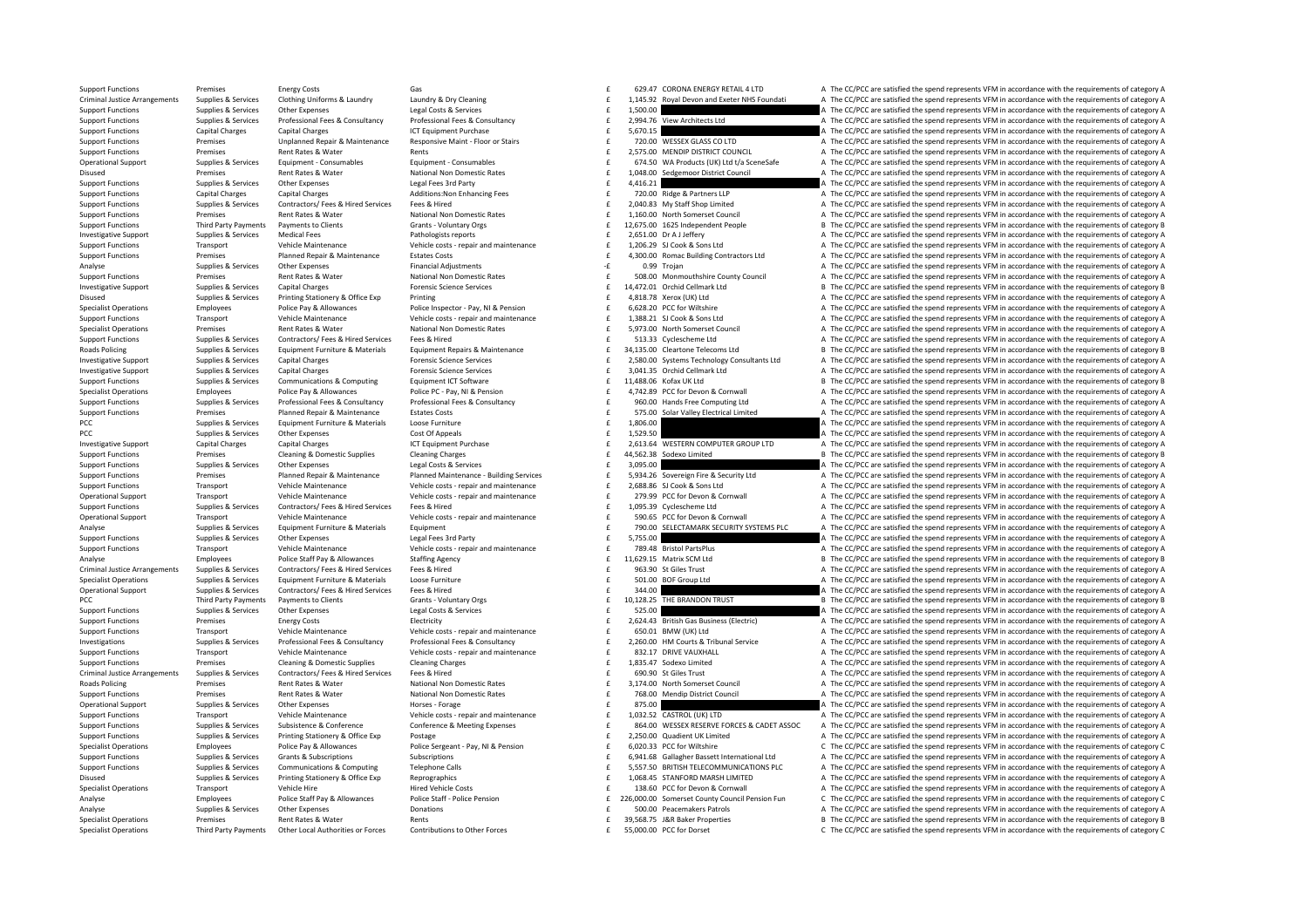Support Functions Premises Energy Costs Gas Gas Functions Gas Energy Costs Gas Category A The CC/PCC are satisfied the spend represents VFM in accordance with the requirements of category A Criminal lustice Arrangements Sunnlies & Services Clothing Uniforms & Laundry Laundry Bundes Mustave Development Continue Uniforms & Laundry Bundey & Development of category A The CC/PCC are satisfied the spend represents Support Functions Supplies & Services Other Expenses Legal Costs & Services Legal Costs & Services Services 1,500.00 **E** 1,500.00 **E 1,500.00** A The CC/PCC are satisfied the spend represents VFM in accordance with the requ E 2,994.76 View Architects Ltd **A** The CC/PCC are satisfied the spend represents VFM in accordance with the requirements of category A Support Functions Capital Charges Capital Charges Capital Charges ICT Equipment Purchase 1CT Equipment Purchase 5,670.15 **Executes 20.00 WESSEX GLASS COLITEM CONTAGGES** A The CC/PCC are satisfied the spend represents VFM i Support Functions Premises Premises Unplanned Repair & Maintenance Responsive Maint - Floor or Stairs and Franch COMPOSEX GLASS COLITO A The CC/PCC are satisfied the spend represents VFM in accordance with the requirements Support Functions Premises Rent Rates & Water Rents Rents Rents Rents Rents 2,575.00 MENDIP DISTRICT COUNCIL A The CC/PCC are satisfied the spend represents VFM in accordance with the requirements of category A Operational Support Supplies & Services Equipment - Consumables Equipment - Consumables Equipment - Consumables<br>
National Non Drugger and Read and Drugger Mational Non Domestic Rates and Consumer Case of the CASO WA Produc Disused Premises Rent Rates & Water National Non Domestic Rates and the Sedgemoor District Council A The CC/PCC are satisfied the spend represents VFM in accordance with the requirements of category A Sunnies & Services Ot Support Functions Supplies & Services Other Expenses Legal Fees 3rd Party and the Stategory A The CC/PCC are satisfied the spend represents VFM in accordance with the requirements of category A Support Functions Capital Charges Capital Charges Additions:Non Enhancing Fees Fig. 20.00 Ridge & Partners LLP A The CC/PCC are satisfied the spend represents VFM in accordance with the requirements of category A Sunnort Eunctions Sunnlies & Services Contractors / Fees & Hired Services Fees & Hired Services Fees & Hired Services Fees & Hired Fees & Hired Fees & Hired Feestified the specifical the specifical the specifical the speci Support Functions Premises Rent Rates & Water National Non Domestic Rates 1,160.00 North Somerset Council A The CC/PCC are satisfied the spend represents VFM in accordance with the requirements of category A Support Functions Third Party Payments Payments to Clients Comes Grants - Voluntary Orgs 6 12,675.00 1625 Independent People B The CC/PCC are satisfied the spend represents VFM in accordance with the requirements of catego Investigative Support Supplies & Services Medical Fees Pathologists reports 2,651.00 Dr A J Jeffery A The CC/PCC are satisfied the spend represents VFM in accordance with the requirements of category A Support Functions Transport Vehicle Maintenance Vehicle costs - repair and maintenance  $\begin{array}{ccc}\n & f & 1,206.29 & SJ \text{ Cook} & S \text{on} \\
\text{Number Functions} & \text{Frequency} & \text{Pr} & \text{Frequency} & \text{C} \\
\text{Number Functions} & \text{Pr} & \text{Frequency} & \text{P} & \text{P} \\
\text{Number Functions} & \text{Pr} & \text{Frequency} & \text{P} \\
\text{Number Functions} & \text{$ Support Functions Premises Planned Repair & Maintenance Estates Costs **4,300.00** Romac Building Contractors Ltd A The CC/PCC are satisfied the spend represents VFM in accordance with the requirements of category A The CC/P Analyse Supplies Services Other Expenses Financial Adjustments Contains Contains Contains and The CC/PCC are satisfied the spend represents VEM in accordance with the requirements of category A The CC/PCC are satisfied the Support Functions Premises Premises Rent Rates & Water Mational Non Domestic Rates National Mational Mational Mational Mational Mates of the SOB.00 Monmouthshire County Council A The CC/PCC are satisfied the spend represen Investigative Support Supplies & Services Capital Charges Forensic Science Services 14,472.01 £ Orchid Cellmark Ltd <sup>B</sup> The CC/PCC are satisfied the spend represents VFM in accordance with the requirements of category B Disused Supplies & Services Printing Stationery & Office Exp Printing Printing Printing Printing Printing and the Service A The CC/PCC are satisfied the spend represents VFM in accordance with the requirements of category Specialist Operations Employees Police Pay & Allowances Police Inspector - Pay, NI & Pension Engine Pay and the CONSTRATE CONSTRATED A The CC/PCC are satisfied the spend represents VFM in accordance with the requirements o Compare Transport Vehicle Maintenance Vehicle costs - repair and maintenance and the 1,388.21 SI Cook & Sons Ltd and The CC/PCC are satisfied the spend represents VFM in accordance with the requirements of category A and t Specialist Operations Premises Rent Rates & Water National Non Domestic Rates Search Rates 5,973.00 North Somerset Council A The CC/PCC are satisfied the spend represents VFM in accordance with the requirements of category 513.33 Cyclescheme Ltd **A** The CC/PCC are satisfied the spend represents VFM in accordance with the requirements of category A Roads Policing Supplies & Services Foujoment Furniture & Materials Foujoment Renairs & Maintenance F 34.135.00 Cleartone Telecoms I td B The CC/PCC are satisfied the spend represents VFM in accordance with the requirements Investigative Support Supplies & Services Capital Charges Forensic Science Services 2,580.00 £ Systems Technology Consultants Ltd A The CC/PCC are satisfied the spend represents VFM in accordance with the requirements of category A  $\begin{array}{ccccccccc} \text{Investigative Support} & \text{Suppose bypoles & Services} & \text{Capital charges} & \text{Propomial charges} & \text{Formulation & 1011} & \text{Formulation & 1011} & \text{Formulation & 1011} & \text{Formulation & 1011} & \text{Formulation & 1011} & \text{Formulation & 1011} & \text{Formulation & 1011} & \text{Formulation & 1011} & \text{Formulation & 1011} & \text{Formulation & 1011} & \text{Formulation & 1011} & \text{Formulation &$ Support Functions Supplies & Services Communications & Computing Equipment ICT Software 11,488.06 ACT AN ACT ACT AN ACT AREA The CC/PCC are satisfied the spend represents VFM in accordance with the requirements of category 4.742.89 PCC for Devon & Cornwall 4.71 A The CC/PCC are satisfied the spend represents VFM in accordance with the requirements of category A Support Functions Supplies & Services Professional Fees & Consultancy Professional Fees & Consultancy Professional Fees & Consultancy Consultancy and the SUGAL CONTENT A The CC/PCC are satisfied the spend represents VFM in Support Functions Promises Planned Repair & Maintenance Estates Costs Costs of the ST5.00 Solar Valley Electrical Limited A The CC/PCC are satisfied the spend represents VFM in accordance with the requirements of category PCC Supplies & Supplies & Services Equipment Furniture & Materials Loose Furniture 1,806.00 1,806.00 1,806.00 1,806.00 4,999 A The CC/PCC are satisfied the spend represents VFM in accordance with the requirements of catego PCC Supplies & Supplies & Services Other Expenses Cost Of Appeals Cost Of Appeals Cost Of Appeals Cost Of Appeals 1,529.50 a The CC/PCC are satisfied the spend represents VFM in accordance with the requirements of category Investigative Support Capital Charges Capital Charges Capital Charges ICT Equipment Purchase ICT Equipment Purchase Capital Charges ICT Equipment Purchase SC 2,613.64 WESTERN COMPUTER GROUP LTD A The CC/PCC are satisfied t Support Functions Premises Cleaning & Domestic Supplies Cleaning Charges and the company of the spend represents of category B The CC/PCC are satisfied the spend represents VFM in accordance with the requirements of catego Support Functions Supplies & Services Other Expenses Legal Costs & Services Legal Costs & Services Legal Costs & Services **Equal Costs A Services Costs A Services** Costs & Services **Equal Costs A Service Costs A Service Co** Support Functions and the contract of category of the Contract Plannel Maintenance Plannel Maintenance Ruilding September 2014 26 September 16 A Security Itd The CC/PC are satisfied the spend represents VFM in accordance w Support Functions Transport Menicle Maintenance Mehicle Obticle Content of Vehicle Constant of the Vehicle Constant of the Perminant of Constant of the CONG SCHOLE AND Transport Transport Wehicle Maintenance Mehicle Operat Transport Vehicle Maintenance Wehicle costs - repair and maintenance CP 279.99 PCC for Devon & Cornwall A The CC/PCC are satisfied the spend represents VFM in accordance with the requirements of category A Support Functions Supplies & Services Contractors/ Fees & Hired Services Fees & Hired 1,095.39 Cyclescheme Ltd A The CC/PCC are satisfied the spend represents VFM in accordance with the requirements of category A Operational Support Transport Transport Wehicle Maintenance Vehicle costs - repair and maintenance Vehicle costs - repair and maintenance CPCC Devon & Cornwall A The CC/PCC are satisfied the spend represents VFM in accorda Supplies & Services Equipment Furniture & Materials Equipment Equipment content of the Supplies of the CC/PCC are satisfied the spend represents VFM in accordance with the requirements of category A Support Functions Supplies & Services Other Expenses Legal Fees 3rd Party Support Functions A The CC/PCC are satisfied the spend represents VFM in accordance with the requirements of category A Vehicle Maintenance Meridie or and maintenance vehicle costs - repair and maintenance and the maintenance of the CC/PCC are satisfied the spend represents VFM in accordance with the requirements of category A analyse and t Analyse Employees Police Staff Pay & Allowances Staffing Agency 11, E29.15 Matrix SCM Ltd B The CC/PCC are satisfied the spend represents VFM in accordance with the requirements of category B Criminal Justice Arrangements Supplies & Services Contractors/ Fees & Hired Frees & Hired Frees & Hired Frees & Hired Services Fees & Hired Frees Arranged and The CC/PCC are satisfied the spend represents VFM in accordance Supplies & Supplies & Supplies & Supplies & Formation Equipment Furniture & Materials Loose Furniture Content Loose Furniture and the CONSTRIPUT A The CC/PCC are satisfied the spend represents VFM in accordance with the re Operational Support Support Support Support Services Contractors/ Fees & Hired Services Fees & Hired Services Fees & Hired Services Fees & Hired Services Contractors A The CC/PCC are satisfied the spend represents VFM in a PCC Third Party Payments Payments to Clients Grants Voluntary Orgs 10,128.25 THE BRANDON TRUST B The CC/PCC are satisfied the spend represents VFM in accordance with the requirements of category B<br>Sunning Sunning & Service Support Functions Supplies & Services Other Expenses Legal Costs & Services Legal Costs & Services Functions and The CC/PCC are satisfied the spend represents VFM in accordance with the requirements of category A Support Functions Premises Energy Costs Electricity Electricity Electricity 2,624.43 British Gas Business (Electric) A The CC/PCC are satisfied the spend represents VFM in accordance with the requirements of category A Sup Support Functions Transport Vehicle Maintenance Vehicle Costs - repair and maintenance Vehicle costs - repair and maintenance of the CC/PC are satisfied the spend represents VFM in accordance with the requirements of categ Investigations Supplies & Services Professional Fees & Consultancy Professional Fees & Consultancy 2,260.00 £ HM Courts & Tribunal Service A The CC/PCC are satisfied the spend represents VFM in accordance with the requirements of category A Vehicle Maintenance and Maintenance vehicle of the Vehicle costs - repair and maintenance and the Sales of the Sales of the CC/PCC are satisfied the spend represents VFM in accordance with the requirements of category A Su Support Functions Premises Cleaning & Domestic Supplies Cleaning Charges Cleaning Charges Cleaning Charges Cleaning Charges Cleaning Charges Cleaning Charges and the contract of category A The CC/PC are satisfied the spend Criminal Justice Arrangements Supplies & Services Contractors/ Fees & Hired Services Fees & Hired Services Fees & Hired Services Fees & Hired Mational Non Domestic Rates and the Supplies Criminal Criminal Criminal Criminal Roads Policing Premises Rent Rates & Water National Non Domestic Rates and States and States and Premises Rent Rates Rent Rates Rent Rates Rent Rates National Non Domestic Rates are a state of the Second A The CC/PCC are s Support Functions Premises Rent Rates & Water National Non Domestic Rates F 768.00 Mendin District Council A The CC/PCC are satisfied the spend represents VFM in accordance with the requirements of category A Operational Support Supplies & Services Other Expenses Morses - Forage Horses - Forage Horses - Forage 875.00 E 875.00 A The CC/PCC are satisfied the spend represents VFM in accordance with the requirements of category A V Support Functions Transport Vehicle Maintenance Vehicle costs - repair and maintenance Vehicle costs - repair and maintenance of the 1.032.52 CASTROL (UK) LTD A The CC/PCC are satisfied the spend represents VFM in accordan Support Functions Supplies & Services Subsistence & Conference Conference Conference Conference Conference Conference Conference Conference Conference Conference Conference Support and the Support E and the Support Functio Support Functions Supplies & Services Printing Stationery & Office Exp Postage 2,250.00 2000 E 2,250.00 Quadient UK Limited A The CC/PCC are satisfied the spend represents VFM in accordance with the requirements of categor Specialist Operations Specialist Operations Changes Police Pay & Allowances Police Sergeant - Pay Police Sergeant - Pay Research Pay Research Pay Research Pay Research Pay Research Pay Research Control Capital Changes Chan Support Functions Supplies & Subscriptions Subscriptions Subscriptions Subscriptions (Subscriptions of the Subscriptions of the Subscriptions of the Subscriptions of the Subscriptions of the Subscriptions of the Subscripti Support Functions Supplies & Services Communications & Computing Telephone Calls Computing Telephone Calls and the S.557.50 BRITISH TELECOMMUNICATIONS PLC A The CC/PCC are satisfied the spend represents VFM in accordance w Disused Supplies & Services Printing Stationery & Office Exp Reprographics 1,068.45 STANFORD MARSH LIMITED A The CC/PCC are satisfied the spend represents VFM in accordance with the requirements of category A Specialist Operations Transport Vehicle Hire Hire Hired Vehicle Costs Hired Vehicle Costs 138.60 PCC for Devon & Cornwall A The CC/PCC are satisfied the spend represents VFM in accordance with the requirements of category Container and the Staff Paul & Allowances Police Staff Police Staff - Police Staff - Police Pension Police Staff - Police Pension Care and Capacet County Council Pension Fun C The CC/PCC are satisfied the spend represents Analyse Supplies & Services Other Expenses Donations Donations Donations Supplies Donations Featurements Or Donations Featurements Or analyse C/PCC are satisfied the spend represents VFM in accordance with the requirements Specialist Operations Premises Rent Rates & Water Rents 39,568.75 £ J&R Baker Properties <sup>B</sup> The CC/PCC are satisfied the spend represents VFM in accordance with the requirements of category B Specialist Operations Third Party Payments Other Local Authorities or Forces Contributions to Other Forces Contributions of Other Forces Free Contributions to Other Forces Free Contributions to Other Forces Free Contributi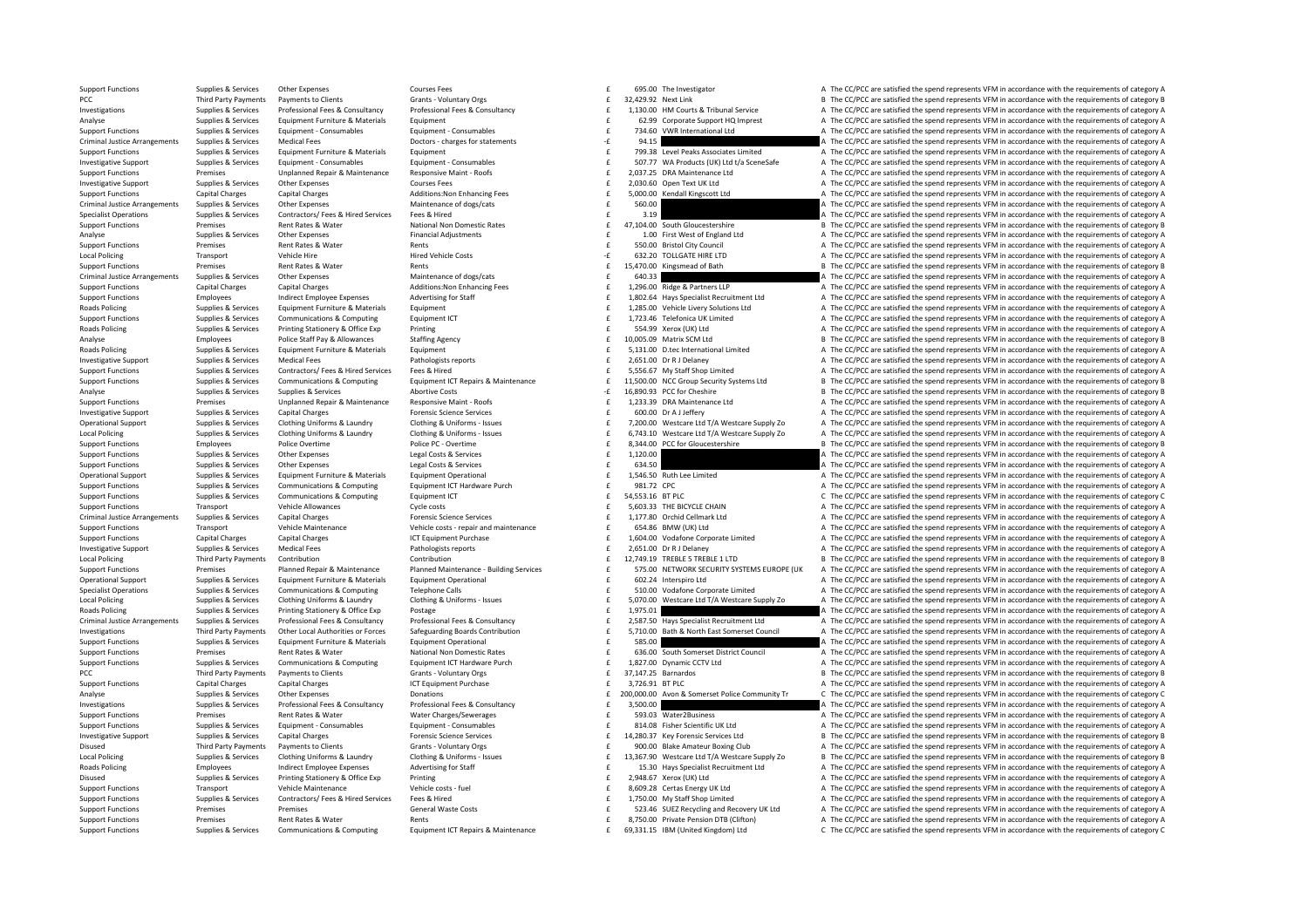Support Functions Supplies & Services Other Expenses Courses Fees 6 £ The Investigator A The CC/PCC are satisfied the sp 95.00 end represents VFM in accordance with the requirements of category A PCC Third Party Payments Payments to Clients Grants - Voluntary Orgs SCRANT CHIENT SALLE SALLE SALLE SALLE SALLE SALLE SALLE SALLE SALLE SALLE SALLE SALLE SALLE SALLE SALLE SALLE SALLE SALLE SALLE SALLE SALLE SALLE SALLE S Supplies & Services Professional Fees & Consultancy Professional Fees & Consultancy exacts are more thanks and the CC/PCC are satisfied the spend represents VFM in accordance with the requirements of category A supplies & Analyse Supplies & Services Equipment Furniture & Materials Equipment 62.99 Corporate Support HQ Imprest A The CC/PCC are satisfied the spend represents VFM in accordance with the requirements of category A Supplies & Services Equipment - Consumables Consumables Equipment - Consumables Equipment - Consumables Equipment - Consumables and the consument of the COVID and the COVID and the COVID and the COVID and the COVID are of Criminal Justice Arrangements Supplies & Services Medical Fees Doctors - charges for statements Provides Criminal Justice Arrangements Supplies & Services Medical Fees Doctors - charges for statements and the requirements Supplies & Services Equipment Furniture & Materials Equipment Equipment Equipment Equipment Equipment Equipment Equipment Consumables and the SO7.77 WA Products (UK) Ltd t/a SceneSafe A The CC/PCC are satisfied the spend r Investigative Support Supplies & Services Equipment - Consumables Consumables Equipment - Consumables Equipment - Consumables Equipment - Consumables Consument Consumables and the SUPOC at Support E SUPOC are a The CC/PCC Premises Unplanned Repair & Maintenance Responsive Maint - Roofs example and the COPCC are satisfied the spend represents VFM in accordance with the requirements of category A<br>Supplies & Services Other Expenses Courses Fee Investigative Support Supplies & Services Other Expenses Courses Fees Courses Fees and the courses Fees and The CC/PCC are satisfied the spend represents VFM in accordance with the requirements of category A Support Functions Capital Charges Capital Charges Additions:Non Enhancing Fees 5,000.00 Kendall Kingscott Ltd A The CC/PCC are satisfied the spend represents VFM in accordance with the requirements of category A Criminal Justice Arrangements Supplies & Services Other Expenses Maintenance of dogs/cats 560.00  $\epsilon$  560.00  $\epsilon$  560.00  $\Delta$  The CC/PCC are satisfied the spend represents VFM in accordance with the requirements of categor Specialist Operations Supplies & Services Contractors/ Fees & Hired Services Fees & Hired 3.19 **3.19 3.19 A** The CC/PCC are satisfied the spend represents VFM in accordance with the requirements of category A Support Functions Premises Rent Rates & Water National Non Domestic Rates 47,104.00 South Gloucestershire B The CC/PCC are satisfied the spend represents VFM in accordance with the requirements of category B CATEGORY B The Analyse Supplies & Services Other Expenses Financial Adjustments Financial Adjustments and the spend of the CC/PCC are satisfied the spend represents VFM in accordance with the requirements of category A The CC/PCC are sat Support Functions Premises Rent Rates & Water Rents Rents Rents Rents Rents Rents Rents Rents Rents Rents Rents Rents Rents Rents Rents Rents Rents Rents Rents Rents Rents Rents Rents Rents Rents Rents Rents Rents Rents Re Local Policing Transport Vehicle Hire Hire Hire Vehicle Costs – 532.20 TOLLGATE HIRE LTD A The CC/PCC are satisfied the spend represents VFM in accordance with the requirements of category A Superiors are above a part at t Support Functions Rents Rent Rates Rent Rates Rents Rents Rents Rents Rents Rents 15,470.00 E 15,470.00 E 15,470.00 E 15,470.00 E 15,470.00 E 17,500 E 17,500 E 17,500 E 17,500 E 17,500 E 17,500 E 17,500 E 17,500 E 17,500 E Criminal Justice Arrangements Supplies & Services Other Expenses Maintenance of dogs/cats Maintenance of dogs/cats 640.33 **E** 640.33 **A The CC/PCC are satisfied the spend represents VFM in accordance with the requirements** functions Capital Charge & Partners LLP **A** The CC/PCC are satisfied the spend represents VFM in accordance with the requirements of category A Support Functions Employees Indirect Employee Knepsyses Advertising for Staff and the specialist Recruitment Itd A The CC/PCC are satisfied the spend represents VEM in accordance with the requirements of category A Roads Policing Supplies & Supplies & Supplies & Supplies & Supplies & Supplies & Supplies & Supplies & Supplies & Supplies & Supplies & Supplies & Supplies & Computer income control and the computer of the computer of the Support Functions Supplies & Services Communications & Computing Equipment ICT 1,723.46 Telefonica UK Limited A The CC/PCC are satisfied the spend represents VFM in accordance with the requirements of category A Realty A T Roads Policing Supplies & Services Printing Stationery & Office Exp Printing Printing Printing Printing Printing Printing and the Stationer Stationery A The CC/PCC are satisfied the spend represents VFM in accordance with Analyse Employees Police Staff Pay & Allowances Staffing Agency Staffing Agency 10,005.09 Matrix SCM Ltd B The CC/PCC are satisfied the spend represents VFM in accordance with the requirements of category B Roads Policing Supplies & Services Equipment Furniture & Materials Equipment 5,131.00 £ D.tec International Limited A The CC/PCC are satisfied the spend represents VFM in accordance with the requirements of category A Investigative Support Supplies & Services Medical Fees Pathologists reports Pathologists reports 2,651.00 Dr R J Delaney A The CC/PCC are satisfied the spend represents VFM in accordance with the requirements of category A Support Functions Supplies & Services Contractors/ Fees & Hired Fees & Hired Fees & Hired Fees & Hired Fees & Hired Fees & Hired Fees & Hired Fees & Hired Fees & Hired Fees & Hired Fees & Hired Fees & Connunctions & Connun Support Functions Supplies & Services Communications & Computing Equipment ICT Repairs & Maintenance  $\pm$  11,500.00 NCC Group Security Systems Ltd B The CC/PCC are satisfied the spend represents VFM in accordance with the Analyse Supplies & Services Supplies & Services Abortive Costs Abortive Costs 16,890.93 PCC for Cheshire B The CC/PCC are satisfied the spend represents VFM in accordance with the requirements of category B Support Functions Premises Unplanned Repair & Maintenance Responsive Maint - Roofs 
services Analytic Support Encyclopedia and the CC/PCC are satisfied the spend represents VFM in accordance with the requirements of catego Investigative Support Supplies & Services Capital Charges Capital Charges Forensic Science Services Forensic Science Services Forensic Science Services of the spend represents of the CC/PCC are satisfied the spend represen Operational Support Supplies & Services Clothing Uniforms & Laundry Clothing & Uniforms - Issues and the 7,200.00 Westcare Ltd T/A Westcare Supply Zo A The CC/PCC are satisfied the spend represents VFM in accordance with t Local Policing Supplies & Services Clothing Uniforms & Laundry Clothing & Uniforms - Issues and the CASA CloALD Mestare Ltd T/A Westcare Supply Zo A The CC/PCC are satisfied the spend represents VFM in accordance with the Employees Police Overtime Police PC - Overtime Police PC - Overtime Society Police PC - Overtime Society Police PC - Overtime Society Police PC - Overtime and the spend represents VFM in accordance with the requirements of Support Functions Supplies & Services Other Expenses Legal Costs & Services Legal Costs & Services 1,120.00  $\pm$  1,120.00  $\pm$  1,120.00  $\pm$  The CC/PCC are satisfied the spend represents VFM in accordance with the requirem Support Functions Supplies & Services Other Expenses Legal Costs & Services Legal Costs & Services Legal Costs & Services **Expenses 634.50**  $\pm$  544.50 **Expenditions A The CC/PCC are satisfied the spend represents VFM in a** Constitutional Support Supplies & Services Fundament Furniture & Materials Fundament Constrains Fundament Constrains Fundament Constrains Constitutional on the CONSTANTING Constraints and The COPC are satisfied the spend r Support Functions Supplies & Services Communications & Computing Equipment ICT Hardware Purch 981.72 CPC and the second a The CC/PCC are satisfied the spend represents VFM in accordance with the requirements of category A Support Functions Supplies & Services Communications & Computing Equipment ICT 54,553.16 £ BT PLC C The CC/PCC are satisfied the spend represents VFM in accordance with the requirements of category C Support Functions Transport Vehicle Allowances Cycle costs Cycle costs and the S.603.33 THE BICYCLE CHAIN A The CC/PCC are satisfied the spend represents VFM in accordance with the requirements of category A Criminal Justice Arrangements Supplies & Services Capital Charges Forensic Science Services Forensic Science Services Forensic Science Services Forensic Science Services Forensic Science Services Forensic Science Services Support Functions Transport Vehicle Maintenance Vehicle costs repair and maintenance 654.86 EMM (UK) Ltd A The CC/PCC are satisfied the spend represents VFM in accordance with the requirements of category A Support Functions Capital Charges Capital Charges ICT Equipment Purchase 1,604.00 Vodafone Corporate Limited A The CC/PCC are satisfied the spend represents VFM in accordance with the requirements of category A Investigative Support Supplies & Services Medical Fees Pathologists reports 2,651.00 PRI Delaney **E** 2,651.00 DR J Delaney A The CC/PCC are satisfied the spend represents VFM in accordance with the requirements of category Local Policing Third Party Payments Contribution Contribution Contribution Contribution Contribution Contribution Contribution Contribution (Contribution E 12,749.19 TREBLE 5 TREBLE 1 LTD B The CC/PCC are satisfied the spe Support Functions Premises Planned Repair & Maintenance Planned Maintenance Puilding Services E 575.00 NETWORK SECURITY SYSTEMS EUROPE (UK A The CC/PCC are satisfied the spend represents VFM in accordance with the requirem Operational Support Supplies & Services Equipment Furniture & Materials Equipment Operational expansional expansional the CC/PCC are satisfied the spend represents VFM in accordance with the requirements of category A<br>Supp Superiations Supplies & Sarvices Communications & Communications & Communications & Communications & Communications Talenhone Calls and Communications Communications Talenhone Calls and Communications of category A The CC/ Local Policing Supplies & Services Clothing Uniforms & Laundry Clothing & Uniforms - Issues and the Supplies Associate Uniforms - Supplies Associate Uniforms - Supplies Associate Uniforms and the CC/PCC are satisfied the s Roads Policing Supplies & Services Printing Stationery & Office Exp Postage Principal Proceedia and the CC/PC are satisfied the spend represents VFM in accordance with the requirements of category A Criminal Justice Arrangements Supplies & Services Professional Fees & Consultancy Professional Fees & Consultancy Professional Fees & Consultancy Professional Fees & Consultancy Professional Fees & Consultancy Professional Example a case of the seate of the cocal authorities of orces Safeguarding Boards Contribution (Case of the SATION Bath & North East Somerset Council a The CC/PCC are satisfied the spend represents VFM in accordance with t Support Functions Supplies & Services Foujoment Furniture & Materials Foujoment Operational 585.00  $\epsilon$  585.00  $\epsilon$  585.00  $\epsilon$  The CC/PCC are satisfied the spend represents VFM in accordance with the requirements of categ Premises Bent Rates & Water Mational Non Domestic Rates and the Sub-Collect Category A and C/PCC are satisfied the spend represents VFM in accordance with the requirements of category A Support Functions Support Purch Supp Support Functions Supplies & Services Communications & Computing Equipment ICT Hardware Purch the state of the Service of The CC/PCC are satisfied the spend represents VFM in accordance with the requirements of category A PCC Third Party Payments Dayments to Clients Grants Voluntary Orgs Stategory B The CC/PCC are satisfied the spend represents VFM in accordance with the requirements of category B Support Functions Capital Charges Capital Charges Support Purchase ICT Equipment Purchase 3,726.91 BTPLC 3,726.91 BTPLC A The CC/PCC are satisfied the spend represents VFM in accordance with the requirements of category A Analyse Supplies & Services Other Expenses Donations Donations Donations Donations Donations Donations Donations 200,000.00 Avon & Somerset Police Community Tr C The CC/PCC are satisfied the spend represents VFM in accorda Investigations Supplies & Services Professional Fees & Consultancy Professional Fees & Consultancy Professional Fees & Consultancy Consultancy and the Sand Consultances and the CC/PCC are satisfied the spend represents VFM Premises Rent Rates & Water Water Charges/Sewerages **1992.03** Water2Business A The CC/PCC are satisfied the spend represents VFM in accordance with the requirements of category A Supplies & Services Equipment - Consumables Equipment - Consumables Equipment - Consumables Equipment - Consumables Equipment - Consumables Equipment - Consumables Equipment - Consumables Equipment - Consumables Equipment Investigative Support Supplies & Services Capital Charges Forensic Science Services Forensic Science Services Forensic Science Services and the CA230.37 Key Forensic Services Ltd B The CC/PCC are satisfied the spend repres Disused Third Party Payments Payments to Clients Grants Voluntary Orgs 900.00 Rlake Amateur Boxing Club A The CC/PCC are satisfied the spend represents VFM in accordance with the requirements of category A Local Policing Supplies & Services Clothing Uniforms & Laundry Clothing & Uniforms - Issues Clothing With The Mathematics of category B and the CC/PCC are satisfied the spend represents VFM in accordance with the requireme Employees Indirect Employee Sceness Advertising for Staff and the section of the CC/PCC are satisfied the spend represents VFM in accordance with the requirements of category A Disused Supplies & Services Printing Stationery & Office Exp Printing Printing and A The CC/PCC are satisfied the spend represents VFM in accordance with the requirements of category A Support Functions Transport Vehicle Maintenance Vehicle costs – fuel experiments of category A The CC/PCC are satisfied the spend represents VFM in accordance with the requirements of category A Support Functions Support F Sunnort Eunctions Sunnlies & Services Contractors / Fees & Hired Services Fees & Hired Services Fees & Hired Services Fees & Hired Fees & Hired Fees & Hired Feesting A The CC/PCC are satisfied the spend represents VFM in a Support Functions Premises Premises Premises Premises Arental Waste Costs General Waste Costs Costs and Example Costs and Recovery UK Ltd A The CC/PCC are satisfied the spend represents VFM in accordance with the requireme Support Functions Premises Rent Rates & Water Rents Rents Rents Rents Rents Rents Rents 8,750.00 Private Pension DTB (Clifton) A The CC/PCC are satisfied the spend represents VFM in accordance with the requirements of cate Supplies & Services Communications & Computing Equipment ICT Repairs & Maintenance (Basant E 69,331.15 IBM (United Kingdom) Ltd CThe CC/PCC are satisfied the spend represents VFM in accordance with the requirements of cate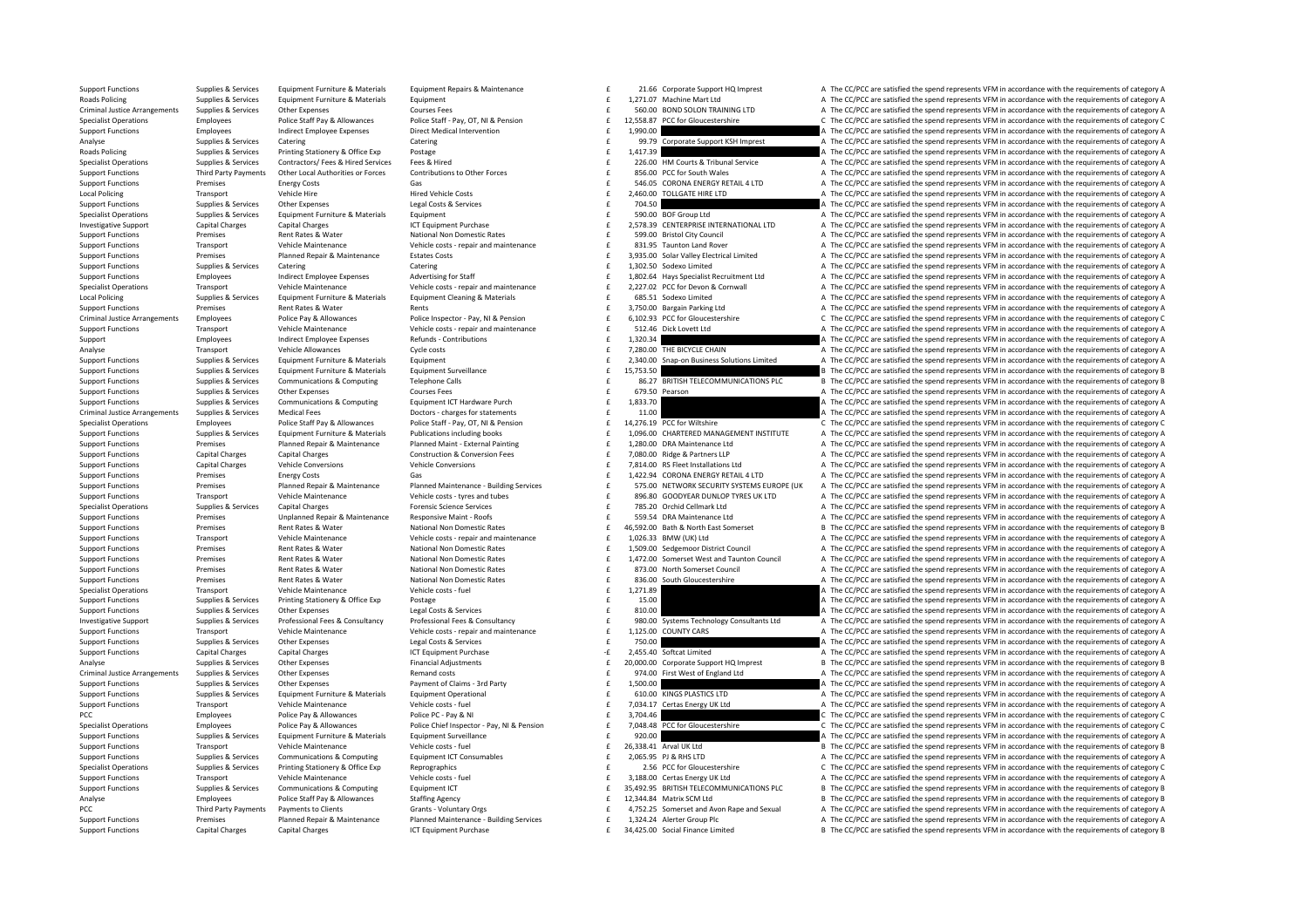Supplies & Services Equipment Furniture & Materials Equipment Repairs & Maintenance and E 21.66 Corporate Support HQ Imprest A The CC/PCC are satisfied the spend represents VFM in accordance with the requirements of catego

Roads Policing Supplies Services Equipment Furniture & Materials Equipment 1,271.07 Machine Mart Ltd A The CC/PCC are satisfied the spend represents VFM in accordance with the requirements of category A Criminal Justice Arrangements Supplies & Services Other Expenses Courses Fees Courses Fees Courses Fees Courses Fees and the Second BOD COLON TRAINING LTD A The CC/PCC are satisfied the spend represents VFM in accordance w £ 12,558.87 PCC for Gloucestershire **EXECOPCC** are satisfied the spend represents VFM in accordance with the requirements of category C Support Functions Employees and intervention Direct Medical Intervention Direct Medical Intervention 1,990.00 E 1,990.00 A The CC/PCC are satisfied the spend represents VFM in accordance with the requirements of category A Analyse Supplies & Services Catering Catering Catering Catering Catering Catering Catering Catering Catering Catering Catering Support KSH Imprest A The CC/PCC are satisfied the spend represents VFM in accordance with the Roads Policing Supplies & Services Printing Stationery & Office Exp Postage Protage 1,417.39 and COMEXALT A The CC/PCC are satisfied the spend represents VFM in accordance with the requirements of category A Specialist Ope Supplies & Supplies & Supplies & Supplies & Supplies & Supplies & Supplies & Supplies & Supplies & Supplies & Supplies & Supplies & Supplies & Supplies & Supplies & Supplies & Supplies & Supplies & Supplies & Support Funct 856.00 PCC for South Wales<br>E SAGOS CORDINA EXERCISE TO A The CC/PCC are satisfied the spend represents VFM in accordance with the requirements of category A<br>SAGOS CORDINA ENFRGY RETAIL ALLTD A The CC/PCC are satisfied the Support Functions Premises Energy Costs Gas Gas Service Gas Service Coronal ENERGY RETAIL 4 LTD A The CC/PCC are satisfied the spend represents VFM in accordance with the requirements of category A Local Policing Transport Vehicle Hire Hired Vehicle Costs Hired Vehicle Costs 2,460.00 TOLLGATE HIRE LTD A The CC/PCC are satisfied the spend represents VFM in accordance with the requirements of category A Support Functions Supplies & Services Other Expenses Legal Costs & Services Legal Costs & Services **Expenditions E 704.50 A The CC/PCC are satisfied the spend represents VFM in accordance with the requirements of categor** Specialist Operations Supplies & Services Equipment Furniture & Materials Equipment 5 equipment 5 and the service of the CC/PCC are satisfied the spend represents VFM in accordance with the requirements of category A 1.<br>
1. Investigative Support Capital Charges Capital Charges Capital Charges ICT Equipment Purchase ICT Equipment Purchase Capital Charges ICT Equipment Purchase Capital Charges ICT Equipment Purchase Capital Charges ICT C Support Functions Premises Rent Rates & Water National Non Domestic Rates 599.00 Bristol City Council A The CC/PCC are satisfied the spend represents VFM in accordance with the requirements of category A The CC/PCC are sat Support Functions Transport Vehicle Maintenance Vehicle costs - repair and maintenance<br>Support Functions Premises Planned Renair & Maintenance Estates Costs Carry Carry and maintenance and the Sala<br>Support Functions Suppor Support Functions Premises Planned Repair & Maintenance Estates Costs 3,935.00 Solar Valley Electrical Limited A The CC/PCC are satisfied the spend represents VFM in accordance with the requirements of category A Support F Support Functions Supplies & Services Catering Catering Catering Catering Catering Catering Catering 1,302.50  $\frac{1}{2}$  1,302.50  $\frac{1}{2}$  1,302.50  $\frac{1}{2}$  and  $\frac{1}{2}$  The CC/PCC are satisfied the spend represents VFM Employees Indirect Employee Expenses Advertising for Staff and anitenance and the 1,802.64 Hays Specialist Recruitment Ltd A The CC/PCC are satisfied the spend represents VFM in accordance with the requirements of category Transport Vehicle Maintenance Vehicle costs - repair and maintenance and the section of the COPCC are satisfied the spend represents VFM in accordance with the requirements of category A Local Policing Supplies & Services Foujoment Furniture & Materials Foujoment Cleaning & Materials Furniture And Materials Furniture at Materials Furniture and Materials of category A The CC/PCC are satisfied the spend repr Support Functions Premises Rent Rates & Water Rents Rents Rents Rents Rents Rents Rents Rents Rents Rents Rents Rents Rents Rents A The CC/PCC are satisfied the spend represents VFM in accordance with the requirements of c Criminal lusting announces and property and property and the control of catalogy of the Criminal lusting and control of the control of catalogy of the Criminal lusting and control of the control of catalogy of the Criminal Vehicle Maintenance and Vehicle Online only of Vehicle costs - repair and maintenance and the state of the search of the CC/PCC are satisfied the spend represents VFM in accordance with the requirements of category A<br>Suppo Support Employees Indirect Employee Expenses Refunds Contributions 1,320.34 E 1,320.34 A The CC/PCC are satisfied the spend represents VFM in accordance with the requirements of category A Analyse Transport Vehicle Allowances Cycle costs Cycle costs and the CYPC are satisfied the spend represents VFM in accordance with the requirements of category A The CC/PCC are satisfied the spend represents VFM in accord Supplies & Supplies & Supplies & Supplies & Equipment Furniture & Materials Equipment Equipment Equipment Equipment Equipment Equipment Equipment (1997) and the CONCERT A The COPC are satisfied the spend represents VFM in Support Functions Culture & Materials Equipment Surveillance 15,753.50 **1** 15,753.50 **B** The CC/PC are satisfied the spend represents VFM in accordance with the requirements of category B Support Functions Supplies & Services Communications & Computing Telephone Calls and Telephone Calls and the service of the Support FELECOMMUNICATIONS PLC Bervice The CC/PCC are satisfied the spend represents VFM in accord Courses Fees Courses Fees and Support Functions of category A The CC/PCC are satisfied the spend represents VFM in accordance with the requirements of category A Support Functions Supplies & Services Communications & Computing Foulnment ICT Hardware Purch f 1,833.70 **1,833.70 A The CC/PCC are satisfied the spend represents VFM in accordance with the requirements of category A** Criminal Justice Arrangements Supplies & Services Medical Fees Doctors – charges for statements and the contents of the CC/PCC are satisfied the spend represents VFM in accordance with the requirements of category A Decree Specialist Operations Employees Police Staff Pay & Allowances Police Staff - Pay, OT, NI & Pension E 14,276.19 PCC for Wiltshire C/PCC are satisfied the spend represents VFM in accordance with the requirements of category Supplies & Supplies & Supplies & Supplies & Supplies Anaterials Publications including books and the 1,096.00 CHARTERED MANAGEMENT INSTITUTE A The CC/PCC are satisfied the spend represents VFM in accordance with the requir Planned Repair & Maintenance Planned Maint - External Painting 6 1,280.00 DRA Maintenance Ltd A The CC/PCC are satisfied the spend represents VFM in accordance with the requirements of category A Support Functions Capital Charges Capital Charges Construction & Conversion Fees Factor Construction & Conversion Fees Factor A The CC/PCC are satisfied the spend represents VFM in accordance with the requirements of categ Support Functions Capital Charges Vehicle Conversions Vehicle Conversions Vehicle Conversions Vehicle Conversions Vehicle Conversions Vehicle Conversions and the material a the CC/PC are satisfied the spend represents VFM Support Functions Premises Energy Costs Gas Gas a company of the Support of category A The CC/PCC are satisfied the spend represents VFM in accordance with the requirements of category A Enterprise Support Functions Premises Planned Repair & Maintenance Planned Maintenance Building Services and the ST5.00 NETWORK SECURITY SYSTEMS EUROPE (UK A The CC/PCC are satisfied the spend represents VFM in accordance Transport Vehicle Maintenance Vehicle costs - tyres and tubes and the season of the SP6.80 GOODYEAR DUNLOP TYRES UK LTD A The CC/PCC are satisfied the spend represents VFM in accordance with the requirements of category A Supplies & Services Capital Charges Forensic Science Services (Science Services and Supplies & Services Capital Charges Forensic Science Services and Supplies & Services Capital Charges Forensic Science Services and Suppli Support Functions Premises Unplanned Repair & Maintenance Responsive Maint - Roofs Content and Responsive Maint - Roofs CONTER SESS,54 DRA Maintenance Ltd A The CC/PCC are satisfied the spend represents VFM in accordance w Support Functions Premises Rent Rates & Water National Non Domestic Rates 46,592.00 Bath & North East Somerset B The CC/PCC are satisfied the spend represents VFM in accordance with the requirements of category B Support Functions Transport Vehicle Maintenance Vehicle costs ‐ repair and maintenance A The CC/PCC are satisfied the spend represents VFM in accordance with the requirements of category A Support Functions Premises Rent Rates & Water National Non Domestic Rates 1,509.00 Sedgemoor District Council A The CC/PCC are satisfied the spend represents VFM in accordance with the requirements of category A Support Fu Support Functions Premises Rent Rates & Water National Non Domestic Rates and the CL/PCC are satisfied the spend represents VFM in accordance with the requirements of category A Support Functions Premises Rent Rates & Water National Non Domestic Rates 88 **1999 Examples 8 COUNCIL A The CC/PCC** are satisfied the spend represents VFM in accordance with the requirements of category A Support Functions Premises Rent Rates & Water National Non Domestic Rates and the Sachine and The CC/PCC are satisfied the spend represents VFM in accordance with the requirements of category A New York Lates Material Non-Specialist Operations Transport Vehicle Maintenance Vehicle costs fuel and the CC/PC are attenance of category and the requirements of category A The CC/PCC are satisfied the spend represents VFM in accordance with the req Support Functions Supplies & Services Printing Stationery & Office Exp Postage Protections Printing Stationery & Office Exp Postage Protections and Content and the CC/PC are satisfied the spend represents VFM in accordance Support Functions Supplies & Services Other Expenses Legal Costs & Services Legal Costs & Services Support Expenses 2010 E 310.00 Consultants of the CC/PCC are satisfied the spend represents VFM in accordance with the requ Investigative Support Supplies & Services Professional Fees & Consultancy Professional Fees & Consultancy Professional Fees & Consultancy Professional Fees & Consultancy Professional Fees & Consultancy Professional Fees & Support Functions Transport Vehicle Maintenance Vehicle costs - repair and maintenance The 1,125.00 COUNTY CARS A The CC/PCC are satisfied the spend represents VFM in accordance with the requirements of category A Support Functions Supplies & Services Other Expenses 2007 A Legal Costs & Services 2008 Casts are a made a man of the COST A The CC/PCC are satisfied the spend represents VFM in accordance with the requirements of category Support Functions Capital Charges Capital Charges ICT Equipment Purchase 2,455.40 ‐£ Softcat Limited A The CC/PCC are satisfied the spend represents VFM in accordance with the requirements of category A Analyse Supplies & Services Other Expenses Financial Adjustments Financial Adjustments 20,000.00 Corporate Support HQ Imprest B The CC/PCC are satisfied the spend represents VFM in accordance with the requirements of categ Criminal lustice Arrangements Sunnlies & Services Other Expenses Sunne Proposes Remand costs Remand costs Remand costs are a service and a service of Frank of Criminal lustice Arrangements VEM in accordance with the requir Support Functions Supplies & Services Other Expenses Payment of Claims – 3rd Party Payment of Claims – 3rd Party 1,500.00  $\pm$  5.500.00  $\pm$  5.500.00  $\pm$  5.500.00  $\pm$  7.500  $\pm$  7.500  $\pm$  7.500  $\pm$  7.500  $\pm$  7.500  $\pm$ Sunnort Eugenions Sunniles & Services Faultament Furniture & Materials Faultament Operational Sunnos Controllers and COPLATER COPPLATER A The COPPC are satisfied the spend represents VFM in accordance with the requirements Support Functions Transport Vehicle Maintenance Vehicle costs - fuel vehicle costs -fuel The TOPO are satisfied the Support Englished the spend represents VFM in accordance with the requirements of category A Police Post A Police Pay & Allowances Police PC - Pay & NI Police PC - Pay & NI 3,704.46 Employees C The CC/PCC are satisfied the spend represents VFM in accordance with the requirements of category C<br>Police Pay & Allowances Police Chie Specialist Operations Employees Police Pay & Allowances Police Chief Inspector - Pay, NI & Pension E 7,048.48 PCC for Gloucestershire CThe CC/PCC are satisfied the spend represents VFM in accordance with the requirements o Support Functions Supplies & Services Equipment Furniture & Materials Equipment Surveillance external experiments of category A The CC/PCC are satisfied the spend represents VFM in accordance with the requirements of categ Support Functions Transport Vehicle Maintenance Vehicle Costs - fuel Vehicle costs - fuel 26,338.41 Arval UK Ltd B The CC/PCC are satisfied the spend represents VFM in accordance with the requirements of category B Support Support Functions Supplies & Services Communications & Computing Equipment ICT Consumables and the 2,065.95 PJ & RHS LTD A The CC/PCC are satisfied the spend represents VFM in accordance with the requirements of category A Reprographics examples the contract of the CC/PCC are satisfied the spend represents VFM in accordance with the requirements of category C Support Functions Transport Vehicle Maintenance Vehicle Costs – fuel vehicle costs – fuel a vehicle costs – fuel a The CC/PC are satisfied the spend represents VFM in accordance with the requirements of category A Support Support Functions Supplies & Services Communications & Computing Equipment ICT examples and the state of a state of the CC/PCC are satisfied the spend represents VFM in accordance with the requirements of category Beneform Analyse Employees Police Staff Pay & Allowances Staffing Agency 12, 24, B The CC/PC are satisfied the spend represents VFM in accordance with the requirements of category B Third Party Payments Payments of Clients Chents of Grants-Voluntary Orgs and Fay and the ACTO of ACTER ANGLER ANGLER ANGLER ANGLER ANGLER ANGLER ANGLER ANGLER AND A Support Functions Fermises Planned Repair & Maintenance P Support Functions Premises Planned Repair & Maintenance Planned Maintenance Pulding Services 
f 1,324.24 Alerter Group Plc And Arter Group Plc Arter Group Plc Arter Group Plc Arter Group Plc Arter Group Plc Arter Group Plc Support Functions Capital Charges Capital Charges ICT Equipment Purchase 34,425.00 Social Finance Limited B The CC/PCC are satisfied the spend represents VFM in accordance with the requirements of category B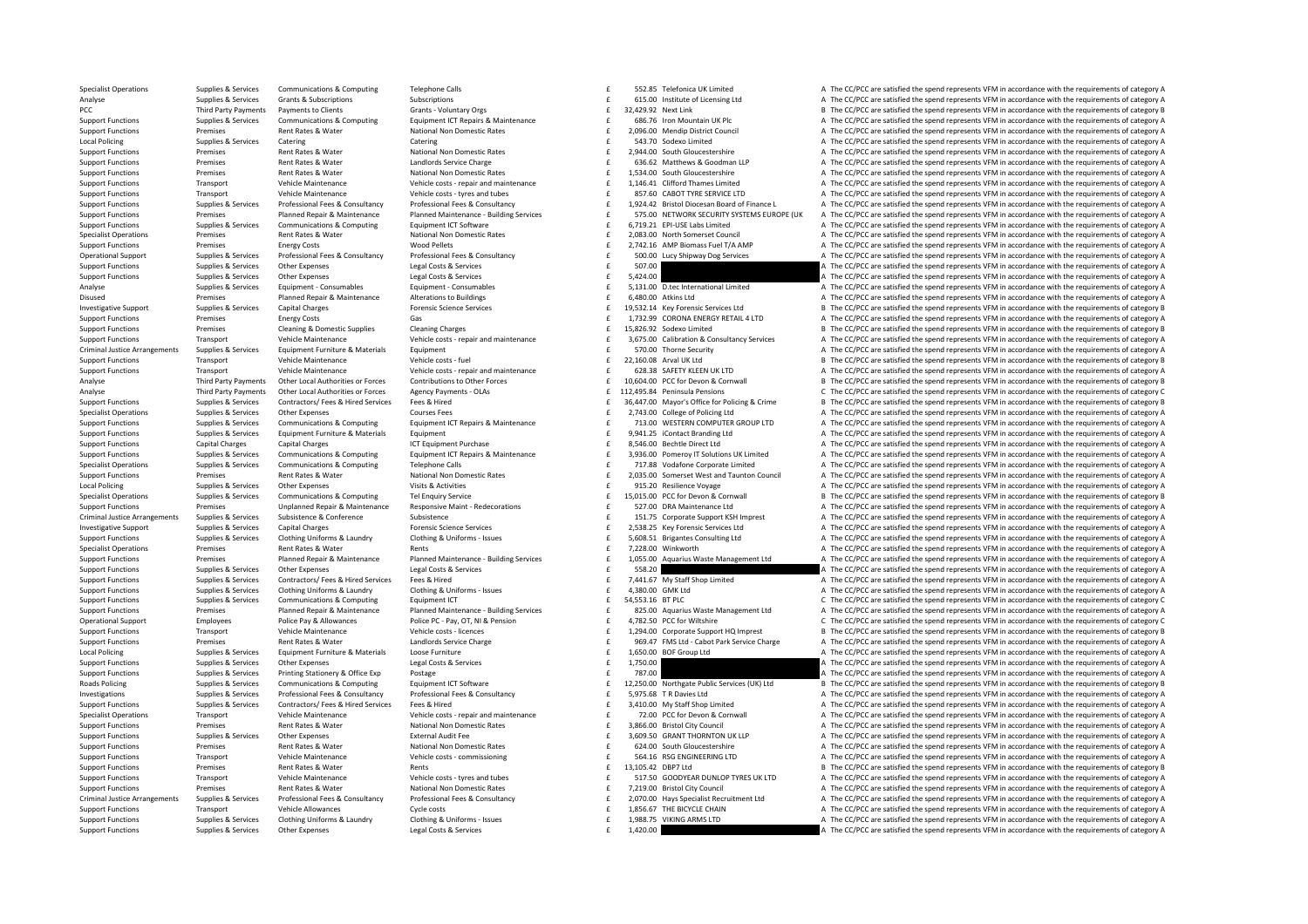Support Functions Supplies & Services Other Expenses Legal Costs & Services Legal Costs & Services 1,420.00  $\pm$  1,420.00  $\pm$  1,420.00  $\pm$  The CC/PCC are satisfied the spend represents VFM in accordance with the requirem

Supplies & Services Communications & Computing Telephone Calls and The S52.85 Telefonica UK Limited A The CC/PCC are satisfied the spend represents VFM in accordance with the requirements of category A Analyse Supplies & Subscriptions Subscriptions Subscriptions Subscriptions Subscriptions Subscriptions Subscriptions and the Came of EC/PC are satisfied the spend represents VFM in accordance with the requirements of categ PCC Third Party Payments Payments of Clients Grants - Voluntary Orgs Grants - Voluntary Orgs 32,429.92 Next Link B The CC/PCC are satisfied the spend represents VFM in accordance with the requirements of category B S Upper Supplies & Services Communications & Computing Equipment ICT Repairs & Maintenance (COMENTER 1997) FOR CONTENTING A SUPPLEM A The CC/PCC are satisfied the spend represents VFM in accordance with the requirements of categor Support Functions Premises Rent Rates & Water National Non Domestic Rates 2,096.00 Mendip District Council A The CC/PCC are satisfied the spend represents VFM in accordance with the requirements of category A The CC/PC are Local Policing Supplies A Supplies & Services Catering Catering Catering Catering Catering Catering Catering Catering Catering Catering Catering Catering Supplies and the CC/PCC are satisfied the spend represents VFM in ac Support Functions Premises Rent Rates & Water National Non Domestic Rates a Category A The CC/PC are satisfied the spend represents VFM in accordance with the requirements of category A Support Functions Premises Rent Rates & Water Landlords Service Charge Charge 636.62 Matthews & Goodman LLP A The CC/PCC are satisfied the spend represents VFM in accordance with the requirements of category A Support Func Support Functions Premises Rent Rates Rent Rates Rent Rates Mational Non Domestic Rates 1,534.00 South Gloucestershire A The CC/PCC are satisfied the spend represents VFM in accordance with the requirements of category A T Transport Wehicle Maintenance Vehicle costs - repair and maintenance Childe costs - repair and maintenance of the cost of the cost of the CC/PCC are satisfied the spend represents VFM in accordance with the requirements of Transport Vehicle Maintenance Vehicle costs - tyres and tubes and the season of the ST.60 CABOT TYRE SERVICE LTD A The CC/PCC are satisfied the spend represents VFM in accordance with the requirements of category A Sunnort Eugenions Sunniles & Services Professional Epes & Consultancy Professional Epes & Consultancy Professional Epes & Consultancy Sunnort Consultance Consultance Consultance Consultance Consultance C 19242 Reistal Dioc Support Functions Premises Planned Repair & Maintenance Planned Maintenance Building Services E 575.00 NETWORK SECURITY SYSTEMS EUROPE (UK A The CC/PCC are satisfied the spend represents VFM in accordance with the requirem Supplies & Services Communications & Computing Equipment ICT Software and the SC of the SC of the CC/PCC are satisfied the spend represents VFM in accordance with the requirements of category A Support ICT Software and the Specialist Operations Premises Rent Rates & Water National Non Domestic Rates 2,083.00 North Somerset Council A The CC/PCC are satisfied the spend represents VFM in accordance with the requirements of category A Support Functions Premises Energy Costs Wood Pellets Wood Pellets and the consultancy and the COST of the CC/PCC are satisfied the spend represents VFM in accordance with the requirements of category A Chessinal Fees & Con Operational Support Supplies & Services Professional Fees & Consultancy Professional Fees & Consultancy Professional Fees & Consultancy Professional Fees & Consultancy Professional Fees & Consultancy Professional Fees & Co Support Functions Supplies & Services Other Expenses Legal Costs & Services Legal Costs & Services Legal Costs & Services **Equal Costs & Services 507.00**  $\frac{1}{2}$  507.00 **A** The CC/PCC are satisfied the spend represents V Support Functions Supplies & Services Other Expenses Legal Costs & Services Legal Costs & Services Support Function of the CC/PC are satisfied the spend represents VFM in accordance with the requirements of category A Chap Analyse Supplies & Services Equipment Consumables Equipment Consumables Equipment Consumables Equipment Consumables Equipment Consumables Equipment Consumables (Equipment Consumables and the Service of the CC/PCC are satis Disused Premises Planned Repair & Maintenance Alterations to Buildings 6,480.00 atkins Ltd CC/PCC are satisfied the spend represents VFM in accordance with the requirements of category A Investigative Support Supplies & Services Capital Charges Material Price of Permis Science Services Capital Charges Price of Permis Science Services Capital Charges Price of The CONSTRETTING BOOK BOOK BOOK AND BOOK AND BOO Support Functions Transitions Premises Energy Costs Gas Gas Gas Costs Gas 1,732.99 CORONA ENERGY RETAIL 4 LTD A The CC/PCC are satisfied the spend represents VFM in accordance with the requirements of category A Support Fu Support Functions Cleaning Charges Cleaning Charges Cleaning Charges and maintenance and the 15,826.92 Sodexo Limited B The CC/PCC are satisfied the spend represents VFM in accordance with the requirements of category B Ve Transport Vehicle Maintenance Vehicle Costs - repair and maintenance and and the section of the CC/PCC are satisfied the spend represents VFM in accordance with the requirements of category A Criminal Justice Arrangements Supplies & Services Equipment Furniture & Materials Equipment Equipment Equipment<br>
Vehicle Maintenance Vehicle Maintenance Vehicle Costs-fuel vehicle costs-fuel vehicle costs-fuel of 22.160.08 Support Functions Transport Vehicle Maintenance Vehicle costs - fuel Vehicle costs - fuel 22,160.08 Arval UK Ltd B The CC/PCC are satisfied the spend represents VFM in accordance with the requirements of category B Vehicle Support Functions Transport Wobicle Maintenance Wobicle contra capacity and maintenance and CONSTRESS CRETTY RIFERILIK ITD A The CC/DCC are catisfied the spend conrecents VEM in accordance with the requirements of category Third Party Payments Other Local Authorities or Forces Contributions to Other Forces and the Subset of the Subset of the Subset of the COPCC are satisfied the spend represents VFM in accordance with the requirements of cat Third Party Payments Other Local Authorities or Forces Agency Payments - OLAs Facebook Agency Payments - OLAs Facebook C 112,495.84 Peninsula Pensions C The CC/PCC are satisfied the spend represents VFM in accordance with Supplies & Services Contractors/ Fees & Hired Services Fees & Hired Services Fees & Hired Services Fees & Hired Services Fees & Hired Services Fees & Hired Services (Pers & Hired Services Services Fees & Hired Services Fee Specialist Operations Supplies & Services Other Expenses Courses Fees Courses Fees 2,743.00 College of Policing Ltd A The CC/PCC are satisfied the spend represents VFM in accordance with the requirements of category A Supp Support Functions Supplies & Services Communications & Computing Equipment ICT Repairs & Maintenance (Support Fig. 2013.00 WESTERN COMPUTER GROUP LTD A The CC/PCC are satisfied the spend represents VFM in accordance with t Support Functions Supplies & Services Equipment Furniture & Materials Equipment Purchase examples and the support Functions and the CC/PCC are satisfied the spend represents VFM in accordance with the requirements of categ Support Functions Capital Charges Capital Charges Capital Charges A The CC/PCC are satisfied the spend represents VFM in accordance with the requirements of category A<br>A The CC/PCC are satisfied the spend represents VFM in Supplies & Services Communications & Computing Equipment ICT Repairs & Maintenance (3,936.00 Pomeroy IT Solutions UK Limited A The CC/PCC are satisfied the spend represents VFM in accordance with the requirements of catego Supplies & Supplies & Supplies & Communications & Computing Telephone Calls (COMPRET) The CONSTANT CONTENT A The COPCC are satisfied the spend represents VFM in accordance with the requirements of category A The COPC are s of the C/PCC are satisfied the spend represents VFM in accordance with the requirements of category A method of Permises and Ram Premises and Ram Mational Non Domestic Rates and the 2,035.00 Somerset West and Taunton Counc Local Policing Supplies & Supplies & Services Other Expenses Visits & Activities Visits & Activities Visits & Activities and the service of the Supplies A The CC/PCC are satisfied the spend represents VFM in accordance wit £ 15,015.00 PCC for Devon & Cornwall B The CC/PCC are satisfied the spend represents VFM in accordance with the requirements of category B Support Functions Premises Unplanned Repair & Maintenance Responsive Maint - Redecorations and the CEZZ.00 DRA Maintenance Ltd A The CC/PCC are satisfied the spend represents VFM in accordance with the requirements of cate Criminal Justice Arrangements Supplies & Services Subsistence Subsistence Subsistence Subsistence Subsistence Subsistence Subsistence Subsistence Subsistence Subsistence Subsistence Subsistence Subsistence Subsistence Subs Investigative Sunnert Sunning & Services Canital Charges Services Enceptic Science Services Canital Charges Services Canital Charges Services Canital Charges Canital Charges Canital Charges Canital Charges Canital Charges Support Functions Supplies & Services Clothing Uniforms & Laundry Clothing & Uniforms - Issues E 5,608.51 Brigantes Consulting Ltd A The CC/PCC are satisfied the spend represents VFM in accordance with the requirements of Specialist Operations Premises Rent Rates & Water Rents Rents Rents Rents Rents Rents Rents Rents Rents Rents Rents Rents Rents Rents Rents Rents Rents Rents Rent Rents Rent Rents Rents Rents Rents Rents Rent Rents Rent Re Support Functions Premises Planned Repair & Maintenance Planned Maintenance Building Services 
E 1,055.00 Aquarius Waste Management Ltd A The CC/PCC are satisfied the spend represents VFM in accordance with the requirement Support Functions Supplies & Services Other Expenses Legal Costs & Services Legal Costs & Services 558.20 **Expendition a The CC/PCC** are satisfied the spend represents VFM in accordance with the requirements of category A Supplies Supplies & Services Contractors/Fees & Hired Fees & Hired Fees & Hired Fees & Hired Fees & Hired Fees & Hired Fees & Hired Fees & Hired Fees & Hired Fees & Hired Fees & Hired Fees & Hired Fees & Hired Fees and Con Sunnert Euroriance Sunniac & Sarvice Clerking Iniforms & Laundry Clerking & Laundry Clerking & Laundry Clerking & Laundry Clerking & Laundry Clerking & Laundry Clerking & Laundry Clerking & Laundry Clerking & Laundry Clerk Support Functions Supplies & Services Communications & Computing Equipment ICT Equipment ICT SA,553.16 BTPLC SUPPORT COMPUTER COMPUTER COMPUTER COMPUTER COMPUTER COMPUTER COMPUTER COMPUTER COMPUTER STEED ON DURITER STEED O Support Functions Premises Planned Repair & Maintenance Planned Maintenance ‐ Building Services 825.00 £ Aquarius Waste Management Ltd A The CC/PCC are satisfied the spend represents VFM in accordance with the requirements of category A Contributional Support of catanomy of the China Dalica Dalica Delica Dr. Dav CT NI & Dancion Catanomy C The Crist Control of the Crist of the Crist of catanomy C The Crist Control of Crist Army and the control of catanomy Support Functions Transport Vehicle Maintenance Vehicle costs -licences 1,294.00 Corporate Support HQ Imprest B The CC/PCC are satisfied the spend represents VFM in accordance with the requirements of category B Premises Bent Rates & Water and and and and the CALC of the CALC and the CACC are satisfied the spend represents VFM in accordance with the requirements of category A change and the capacity of the CACC are satisfied the s Local Policing Supplies & Services Equipment Furniture & Materials Loose Furniture 2006 Errniture 1,650.00 **E** 1,650.00 BOF Group Ltd A The CC/PCC are satisfied the spend represents VFM in accordance with the requirements Support Functions Supplies & Services Other Expenses Legal Costs & Services Legal Costs & Services 1,750.00 £ 1,750.00 [ 1,750.00 ] A The CC/PCC are satisfied the spend represents VFM in accordance with the requirements of Support Functions Supplies & Services Printing Stationery & Office Exp Postage Postage 787.00  $\pm$  787.00 and the CC/PCC are satisfied the spend represents VFM in accordance with the requirements of category A Roads Polici Roads Policing Supplies & Supplies & Supplies & Supplies & Communications & Computing Equipment ICT Software (ITS) CONNECT CONDUCT CONTENT CONTENT BASIC CONTENT BASIC PUBLIC SERVICE (UK) Ltd B The CC/PCC are satisfied the Supplies & Services Professional Fees & Consultancy Professional Fees & Consultancy Professional Fees & Consultancy Professional Fees & Consultancy Consultancy and the Second of Supplies Consultance of the CC/PCC are satis Supplies & Services Contractors/Fees & Hired Services Fees & Hired Fees & Hired Fees & Hired Contractors/Fees & Hired Services Fees & Hired Petrode Particular and maintenance and the 3,410.00 My Staff Shop Limited Maintena Vehicle Control control of the CC/PCC are satisfied the soend represents Vehicle Maintenance Vehicle costs - repair and maintenance and for the maintenance of category A The CC/PCC are satisfied the spend represents VFM in Support Functions Premises Rent Rates & Water National Non Domestic Rates and Support A The CC/PCC are satisfied the spend represents VFM in accordance with the requirements of category A Support Functions Support Function Support Functions Supplies & Services Other Expenses External Audit Fee 3,609.50 SRANT THORNTON UK LLP A The CC/PCC are satisfied the spend represents VFM in accordance with the requirements of category A Support Fee State Support Functions Premises Rent Rates & Water National Non Domestic Rates and the Section of the Section of the Section of the CC/PCC are satisfied the spend represents VFM in accordance with the requirements of category A Support Functions Vehicle Maintenance Vehicle costs ‐ commissioning 564.16 BSG ENGINEERING LTD A The CC/PCC are satisfied the spend represents VFM in accordance with the requirements of category A category A strategory A c Support Functions Premises Rent Rates & Water Rents Rents Rents Rents Rents Rents Rents Rents Rents Rents Rents Rents Rents Rents Rents Rents Rents Rents Rents Rents Rents Rents Rents Rents Rents 13,105.42 DBP7 Ltd B The C Vehicle Maintenance and the Vehicle Cost of Vehicle costs - tyres and tubes and tubes of the S17.50 GOODYEAR DUNLOP TYRES UK LTD A The CC/PCC are satisfied the spend represents VFM in accordance with the requirements of ca Support Functions Premises Rent Rates & Water National Non Domestic Rates Rent Rates Rent Rates Rent Rates Rent Rates Rent Rates Rent Rates Rent Rates Rent Rates Rent Rates Rent Rates Rent Rates Rent Rates Rent Rates Rent Criminal lustice Arrangements Sunnlies & Services Professional Fees & Consultancy Professional Fees & Consultancy Professional Fees & Consultancy of 20000 Havs Specialist Recruitment Itd A The CC/PCC are satisfied the spen Support Functions Transport Vehicle Allowances Cycle costs Cycle costs Cycle costs 1,856.67 THE BICYCLE CHAIN A The CC/PCC are satisfied the spend represents VFM in accordance with the requirements of category A Support Fu Support Functions Supplies & Services Clothing Uniforms & Laundry Clothing & Uniforms - Issues E 1,988.75 VIKING ARMS LTD A The CC/PCC are satisfied the spend represents VFM in accordance with the requirements of category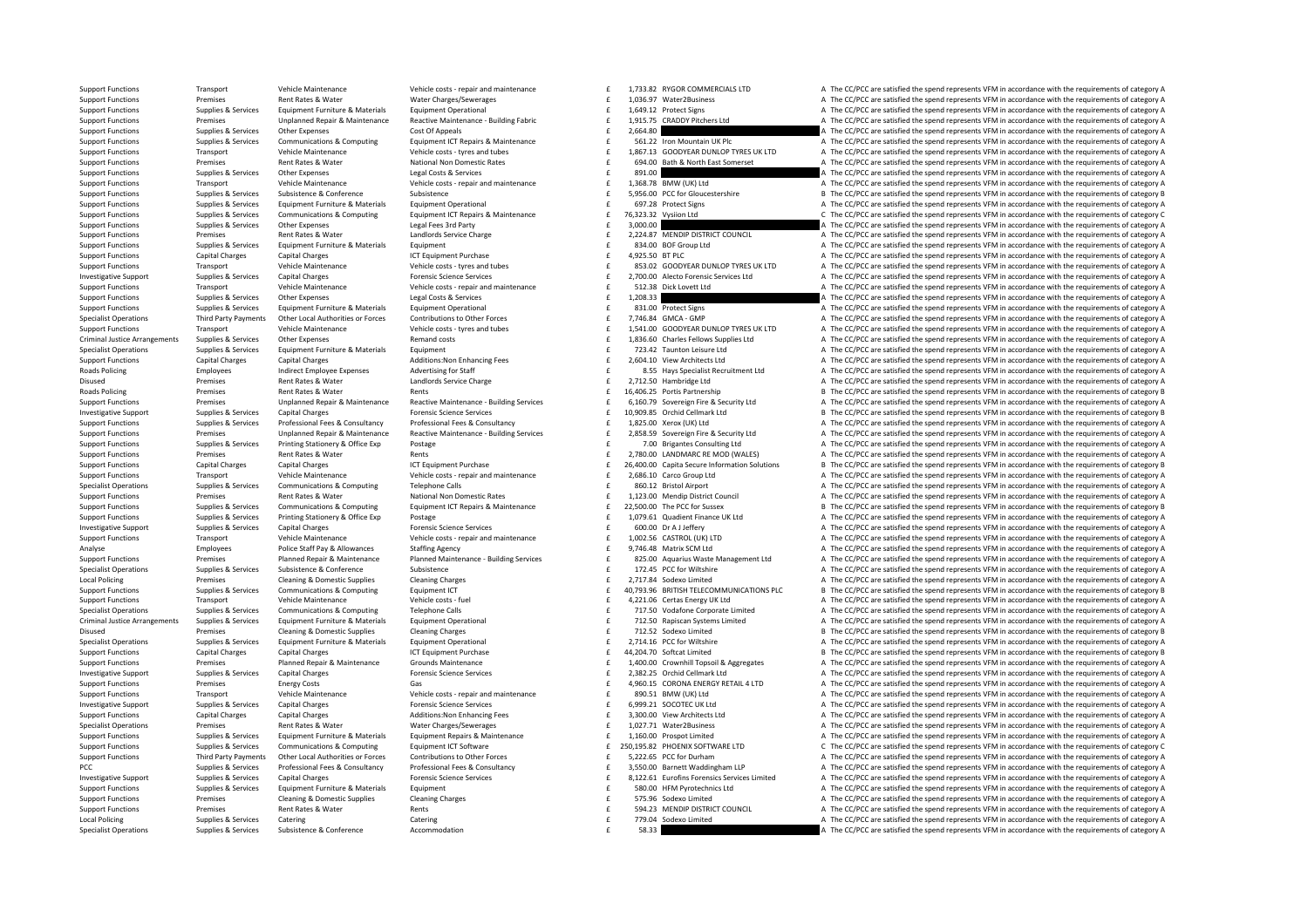Vehicle Maintenance Vehicle Costs repair and maintenance and maintenance and maintenance and maintenance and the CC/PCC are satisfied the spend represents VFM in accordance with the requirements of category A Support Functions Premises Rent Rates & Water Water Charges/Sewerages Values and the material of the material of the material of the material of the material of the CARGES A The CC/PC are satisfied the spend represents VFM Supplies & Supplies & Supplies & Supplies & Devices Equipment Furniture & Materials Equipment Derational Equipment Derational experiments of category and the CC/PCC are satisfied the spend represents VFM in accordance with f 1,915.75 CRADDY Pitchers Ltd **A** The CC/PCC are satisfied the spend represents VFM in accordance with the requirements of category A Support Functions Supplies & Services Other Expenses Cost Of Appeals Cost Of Appeals Cost Of Appeals Cost Of Appeals Cost Of Appeals Cost Of Appeals 2,664.80  $\pm$  2,664.80  $\pm$  2,664.80  $\pm$  2,664.80  $\pm$  2,664.80  $\pm$  2,6 Support Functions Supplies & Services Communications & Computing Equipment ICT Repairs & Maintenance and the S61.22 Iron Mountain UK Plc The CC/PCC are satisfied the spend represents VFM in accordance with the requirements Vehicle Maintenance Meridions of the Vehicle Maintenance Vehicle of the Vehicle costs - tyres and tubes and tubes<br>
Support Functions Transport of Permises Sent Rates & Water Mational Non Domestic Rates and the Sent of the Premises Rent Rates & Water National Non Domestic Rates and the Support E 694.00 Bath & North East Somerset Americ C/PCC are satisfied the spend represents VFM in accordance with the requirements of category A Support Func Support Functions Support Functions At The CC/PCC are satisfied the spend represents VFM in accordance with the requirements of category A<br>A The CC/PCC are satisfied the spend represents VFM in accordance with the requirem Support Functions Transport Vehicle Maintenance Vehicle costs ‐ repair and maintenance 1,368.78 BMW (UK) Ltd A The CC/PCC are satisfied the spend represents VFM in accordance with the requirements of category A Support Functions Supplies & Services Subsistence A Conference Subsistence Subsistence Subsistence Subsistence Subsistence C Subsistence C Subsistence C Subsistence Subsistence Subsistence C Subsistence C Subsistence C Sub Sunnort Eugenions Sunniles & Services Faultament Furniture & Materials Faultament Operational Sunnort Constitution Capacity Constant COPC are satisfied the spend represents VFM in accordance with the requirements of catego Support Functions Supplies & Services Communications & Computing Equipment ICT Repairs & Maintenance  $E = 76,323.32$  Vysilon Ltd CT Rec/PCC are satisfied the spend represents VFM in accordance with the requirements of categ Support Functions Supplies & Services Other Expenses Legal Fees 3rd Party and the support of the CONCO of the CONCO of the Service of the CONCO of the Service of the Service of the Service of the Service of the Service Cha Support Functions Premises Rent Rates & Water Landlords Service Charge 2,224.87 **ACC/PCC are satisfied the spend represents VFM** in accordance with the requirements of category A Support Functions Supplies & Services Equipment Furniture & Materials Equipment Equipment explorement and the service of the CC/PC are satisfied the spend represents VFM in accordance with the requirements of category A Su Support Functions Capital Charges Capital Charges Capital Charges ICT Equipment Purchase 4,925.50 BTPLC 4,925.50 BTPLC A The CC/PCC are satisfied the spend represents VFM in accordance with the requirements of category A S Support Experience Transport Value of the Value of the Value of the Control Value of the CONTENTIFUL SUPPORT AND THE CONTENTIFUL A The CODE of the condition of the control of category A Investigative Support Support Supplies & Services Capital Charges Material Processions Capital Charges Are on Forensic Science Services of The 2,700.00 Alecto Forensic Services Ltd Are CC/PCC are satisfied the spend repres Transport United Vehicle Maintenance Memorial Control Control Control Control Control Control Control Control Control Control Control Control Control Control Control Control Control Control Control Control Control Control Support Functions Supplies & Services Other Expenses Legal Costs & Services Legal Costs & Services 1,208.33 E 1,208.33 E 1,208.33 A The CC/PCC are satisfied the spend represents VFM in accordance with the requirements of c Supplies & Supplies & Supplies & Supplies & Formic Equipment Furniture & Materials Equipment Dperational experime on the EC/PC are satisfied the spend represents VFM in accordance with the requirements of category A and Co Contribution of Contribution of Contribution of Contribution of Contribution of Contribution of Contribution of Contribution of Contribution of Contribution of Contribution of Contribution of Contribution of Contribution o Transport Vehicle Maintenance Vehicle orats - tyres and tubes<br>
Criminal Justice Arrangements Supplies & Services Other Expenses Memand costs Premand costs and tubes and tube<br>
Criminal Justice Arrangements Supplies & Servic Other Expenses States of the content of category A CONFIDENT A The CC/PCC are satisfied the spend represents VFM in accordance with the requirements of category A Supplies & Services Supplies Found Furniture & Materials Found Furniture and Furniture and Materials Found of the CONCERT CHANGER (PCC) are satisfied the spend represents VFM in accordance with the requirements of category Support Functions Capital Charges Capital Charges Additions:Non Enhancing Fees 2,604.10 Yiew Architects Ltd A The CC/PCC are satisfied the spend represents VFM in accordance with the requirements of category A and Dollicing and Dolling and Dolling and Dolling and Dolling of the control of changes and provided by the state of catanony and the control of catanony and the control of catanony and the control of catanony and the cont Disused Premises Rent Rates & Water Landlords Service Charge 2,712.50 Hambridge Ltd A The CC/PCC are satisfied the spend represents VFM in accordance with the requirements of category A Rent A The CC/PC are satisfied the s Premises Rent Rates & Water Rents Rents Premises Rents Rent Rates Rent Rates Rent Rents 16,406.25 Portis Partnership B The CC/PCC are satisfied the spend represents VFM in accordance with the requirements of category B Support Functions Premises Unplanned Repair & Maintenance Reactive Maintenance Building Services and function of 5,160.79 Sovereign Fire & Security Ltd A The CC/PCC are satisfied the spend represents VFM in accordance with 10,000.85 Ochid Cellmark Ltd and Cellmark Ltd Burger Borroris Science Services Forensic Science Services Forensic Science Services Forensic Science Services Forensic Science Services Forensing Supplements of category Burge Support Functions Supplies & Services Professional Fees & Consultancy Professional Fees & Consultancy Professional Fees & Consultancy Professional Fees & Consultancy Professional Fees & Consultancy Professional Fees & Cons Premises Unplanned Repair & Maintenance Reactive Maintenance Building Services and the 2,858.59 Sovereign Fire & Security Ltd A The CC/PCC are satisfied the spend represents VFM in accordance with the requirements of categ F 7.00 Brigantes Consulting Ltd A The CC/PCC are satisfied the spend represents VFM in accordance with the requirements of category A Support Functions Premises Rent Rates & Water Rents Rents Rents Rents Rents Rents Rents Rents Rents Rents Rents Rents Rents Rents Rents Rents Rents Rents Rents Rents Rents Rents Rents Rents Rents Rents Rents Rents Rents Re Support Functions Capital Charges Capital Charges Capital Charges Capital Charges Capital Charges Capital Charges Capital Charges Capital Charges Capital Charges Capital Charges Capital Charges Capital Charges Capital Char Support Functions Transport Vehicle Maintenance Vehicle costs repairs and maintenance CF 2686.10 Carro Groun Itd a The CC/PC are satisfied the spend represents VEM in accordance with the requirements of category A Supplies & Supplies & Supplies & Communications & Computing Telephone Calls Computing Telephone Calls Computing Telephone Calls and the Support of the CC/PCC are satisfied the spend represents VFM in accordance with the re Premises Rent Rates & Water National Non Domestic Rates 1,123.00 Mendip District Council A The CC/PCC are satisfied the spend represents VFM in accordance with the requirements of category A Supplies & Services Communications & Computing Equipment ICT Repairs & Maintenance and for Sussex Basisfield the social cerresents VFM in accordance with the requirements of category B Support Functions Supplies & Services Printing Stationery & Office Exp Postage Protection Protection Protection Protection Protection Protection Protection Protection Protection Protection Protection Protection Protection Investigative Support Support Support Support Services Capital Charges Forensic Science Services 600.00 **Expressions 600.00 CAPITAL CONTRACT A THE CC/PCC are satisfied the spend represents VFM in accordance with the re** Support Functions Transport Vehicle Maintenance Vehicle costs - repair and maintenance Chicle costs - repair and maintenance Chicle Costs - repair and maintenance Chicle School (UK) LTD A The CC/PCC are satisfied the spend Analyse Employees Police Staff Pay & Allowances Staffing Agency Staffing Agency and the State Analyse A The CC/PCC are satisfied the spend represents VFM in accordance with the requirements of category A Support Functions Support Functions Premises Planned Repair & Maintenance Planned Maintenance Building Services F 825.00 Aquarius Waste Management Ltd A The CC/PCC are satisfied the spend represents VFM in accordance with the requirements o Specialist Operations Supplies & Services Subsistence Subsistence Subsistence Subsistence Subsistence Subsistence Subsistence and the media and the CC/PCC are satisfied the spend represents VFM in accordance with the requi Local Policing Premises Cleaning & Domestic Supplies Cleaning Charges Cleaning Charges Cleaning Charges Cleaning Charges Cleaning Charges Cleaning Charges Connunctive Connunctive Connunctive Connunctive Connunctive Connunc Sunnert Eugenity Sunning Communications & Communications & Communications & Communications & Communications Equipment CT COMMUNICATIONS COMMUNICATIONS OF The CC/DCC are catisfied the spend consequents VEM in accordance wit Support Functions Transport Vehicle Maintenance Vehicle costs - fuel 4,221.06 Certas Energy UK Ltd A The CC/PCC are satisfied the spend represents VFM in accordance with the requirements of category A Specialist Operations Supplies & Services Communications & Computing Telephone Calls and the CALL CALL CONDUCT CONDUCT CONDUCT CONDUCT TITLED VOGATION COMPORTED A The CC/PCC are satisfied the spend represents VFM in accordance with the requirem Criminal lustice Arrangements Sunnlies & Services Fouloment Furniture & Materials Fouloment Onerational Furniture and Compart Decarional on the CONS Criminal and CONS A The CC/PCC are satisfied the spend represents VFM in Disused Premises Cleaning & Domestic Supplies Cleaning Charges Cleaning Charges Cleaning Charges Cleaning Charges Cleaning Charges Cleaning Charges of the State of the CC/PC are satisfied the spend represents VFM in accord Supplies & Supplies & Supplies & Supplies & Formic Equipment Furniture & Materials Equipment Purniture & Equipment Purniture (Particular and the capacity of the CC/PCC are satisfied the spend represents VFM in accordance w Support Functions Capital Charges Capital Charges Capital Charges ICT Equipment Purchase 44,204.70 Softcat Limited B The CC/PCC are satisfied the spend represents VFM in accordance with the requirements of category B Suppo Planned Repair & Maintenance Mounds Maintenance Srounds Maintenance and States of the CC/PCC are satisfied the spend represents VFM in accordance with the requirements of category A Investigative Support Supplies & Services Capital Charges Forensic Science Services 2,382.25 £ Orchid Cellmark Ltd A The CC/PCC are satisfied the spend represents VFM in accordance with the requirements of category A Support Functions Premises Energy Costs Gas Gas Gas and Gas and Company of the CORONA ENERGY RETAIL 4 LTD A The CC/PCC are satisfied the spend represents VFM in accordance with the requirements of category A Vehicle Mainte Support Functions Transport Vehicle Maintenance Vehicle costs repair and maintenance  $\frac{1}{2}$   $\frac{1}{2}$   $\frac{1}{2}$   $\frac{1}{2}$   $\frac{1}{2}$   $\frac{1}{2}$   $\frac{1}{2}$   $\frac{1}{2}$   $\frac{1}{2}$   $\frac{1}{2}$   $\frac{1}{2}$   $\frac{1}{2}$   $\frac{1}{2}$   $\frac{1}{2$ Investigative Support Supplies & Services Capital Charges Machines Science Services Forensic Science Services Forensic Science Services and the Services of the Service Service of The CC/PCC are satisfied the spend represen Support Functions Capital Charges Capital Charges Additions:Non Enhancing Fees a fees and the manch of category A The CC/PCC are satisfied the spend represents VFM in accordance with the requirements of category A Specialist Operations Premises Rent Rates & Water Water Water Charges/Sewerages a the matery of the spend represents are a The CC/PCC are satisfied the spend represents VFM in accordance with the requirements of category A Supplies & Services Equipment Furniture & Materials Equipment Repairs & Maintenance and the 1,160.00 Prospot Limited A The CC/PCC are satisfied the spend represents VFM in accordance with the requirements of category A Sup Sunnort Eunctions Sunnlies & Services Communications & Communications & Communications Communications Foundment CT Software F 250.19582 PHOENIX SOFTWARE ITD C The CC/PCC are satisfied the spend represents VEM in accordance Support Functions Third Party Payments Other Local Authorities or Forces Contributions to Other Forces Contributions to Other Forces and the Second of the Second of Second Category A The CC/PCC are satisfied the spend repr £ 3.550.00 Barnett Waddingham LLP 4 The CC/PCC are satisfied the spend represents VFM in accordance with the requirements of category A Investigative Supplies & Services Capital Charges Forensic Science Services Forensic Science Services Forensic Science Services and the Supplies & Services Capital Charges Forensic Science Services and Fig. 222.61 Eurofins Support Functions Supplies & Services Equipment Furniture & Materials Equipment Equipment Equipment Equipment Equipment Equipment Equipment equipment equipment equipment equipment equipment equipment equipment equipment ex Support Functions Premises Cleaning & Domestic Supplies Cleaning Charges Cleaning Charges Supplied a Strategory A The CC/PCC are satisfied the spend represents VFM in accordance with the requirements of category A Support Functions Premises Rent Rates & Water Rents Rents Rents Rents Rents Rents Rents Rents Rents Rents Rents Rents Rents Rents Rents Rents Rents Rents Rents Rents Rents Rents Rents Rents Rents Rents Rents Rents Rents Re Local Policing Supplies & Services Catering Catering 779.04 £ Sodexo Limited A The CC/PCC are satisfied the spend represents VFM in accordance with the requirements of category A Specialist Operations Supplies & Services Subsistence & Conference Accommodation Accommodation 58.33 58.33 59.33 A The CC/PCC are satisfied the spend represents VFM in accordance with the requirements of category A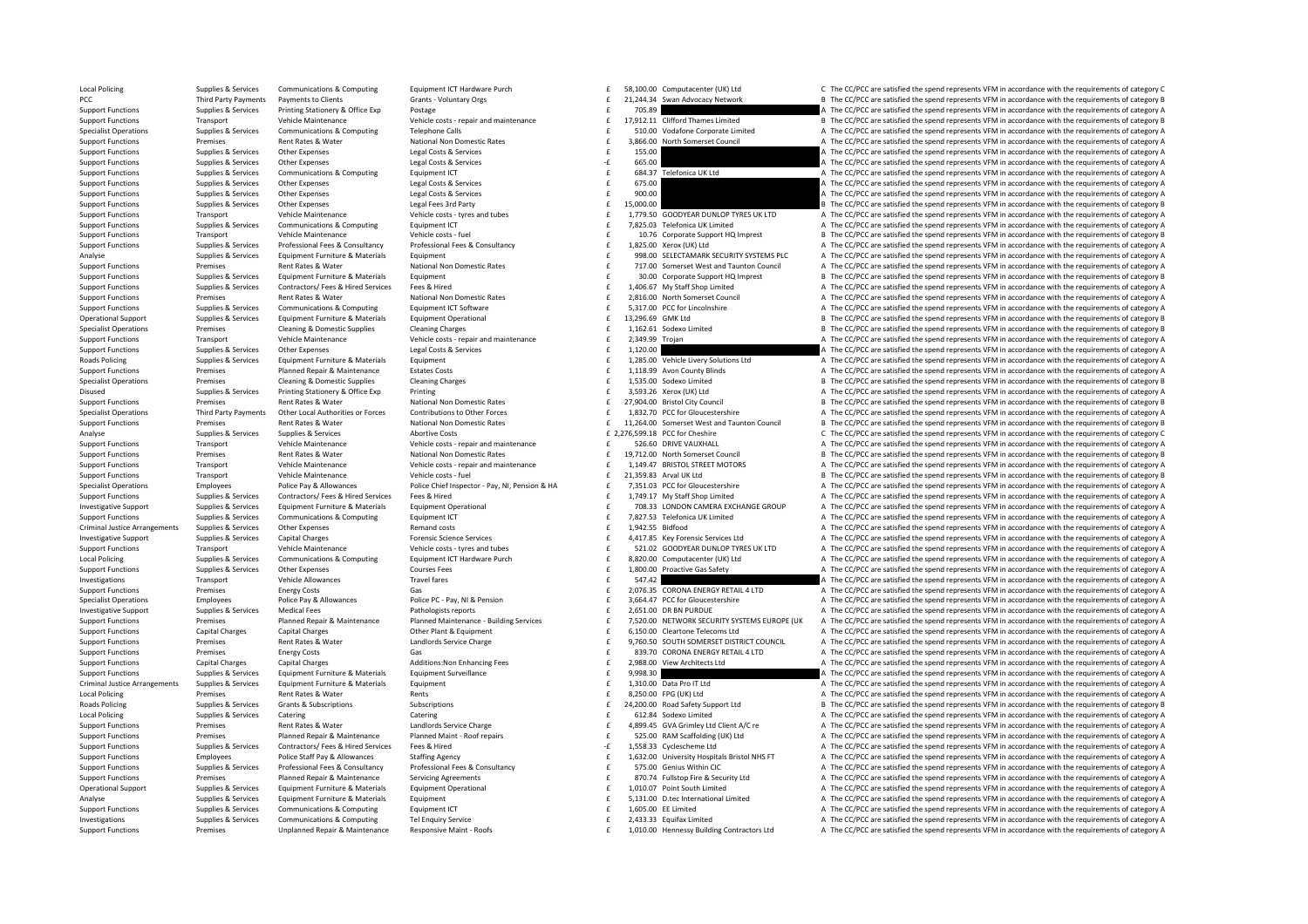Supplies & Services Communications & Computing Equipment ICT Hardware Purch Sand Computate Equipment ICT Hardware Purch Sand Computate (UK) Ltd CThe CC/PCC are satisfied the spend represents VFM in accordance with the requ PCC Third Party Payments Payments of Clients Grants - Voluntary Orgs Crants - Voluntary Orgs 21,244.34 Swan Advocacy Network B The CC/PCC are satisfied the spend represents VFM in accordance with the requirements of catego Support Functions Supplies & Services Printing Stationery & Office Exp Postage Prostage Prostage 705.89 E 705.89  $\pm$  705.89 and reprosents of category and the requirements of category A Vehicle Maintenance 71,912.11 Cliff Vehicle costs - repair and maintenance<br>Vehicle costs - repair and maintenance and maintenance and maintenance or control of the CC/PCC are satisfied the spend represents VFM in accordance with the requirements of category Supplies & Supplies & Supplies & Communications & Computing Telephone Calls and The COME of COME of the COPCC are satisfied the spend represents VFM in accordance with the requirements of category A and the Support Functio Support Functions Premises Rent Rates & Water National Non Domestic Rates 3,866.00 North Somerset Council A The CC/PCC are satisfied the spend represents VFM in accordance with the requirements of category A Support Functions Supplies Services Other Expenses 1593 Costs & Services 200  $\pm$  155.00  $\pm$  155.00  $\pm$  155.00  $\pm$  165.00  $\pm$  165.00  $\pm$  165.00  $\pm$  165.00  $\pm$  165.00  $\pm$  165.00  $\pm$  165.00  $\pm$  165.00  $\pm$  167.00 Support Functions Supplies & Services Other Expenses Legal Costs & Services Legal Costs & Services 665.00 **•** Expenses A The CC/PCC are satisfied the spend represents VFM in accordance with the requirements of category A S Equipment ICT Equipment ICT Communications Communications Computing Computing Computing Computing Computing Computing Computing A The CC/PCC are satisfied the spend represents VFM in accordance with the requirements of cat Support Functions Supplies & Services Other Expenses Legal Costs & Services Legal Costs & Services 675.00  $\pm$  675.00  $\pm$  A The CC/PCC are satisfied the spend represents VFM in accordance with the requirements of category Support Functions Supplies & Services Other Expenses Legal Costs & Services Legal Costs & Services **1900.00 E 1900.00 A** The CC/PCC are satisfied the spend represents VFM in accordance with the requirements of category Support Functions Supplies Services Other Expenses Legal Fees 3rd Party 15,000.00  $\pm$  15,000.00  $\pm$  15,000.00  $\pm$  15,000.00  $\pm$  15,000.00  $\pm$  15,000.00  $\pm$  15,000.00  $\pm$  15,000.00  $\pm$  15,000.00  $\pm$  15,000.00  $\pm$  Transport Vehicle Maintenance Vehicle orsts - tyres and tubes and the season of the 1,779.50 GOODYEAR DUNLOP TYRES UK LTD A The CC/PCC are satisfied the spend represents VFM in accordance with the requirements of category Support Functions Supplies & Services Communications & Computing Equipment ICT 2012 and the magnitude of the Same of the The CC/PCC are satisfied the spend represents VFM in accordance with the requirements of category A V Support Functions Transport Vehicle Maintenance Vehicle costs - fuel 10.76 Corporate Support HQ Imprest B The CC/PCC are satisfied the spend represents VFM in accordance with the requirements of category B Supplies & Supplies & Services Professional Fees & Consultancy Professional Fees & Consultancy Professional Fees & Consultancy Professional Fees & Consultancy (Equipment Consultancy of 1,825.00 Xerox (UK) Ltd a The CC/PCC analyse the content of the C/PCC are satisfied the spend represents VFM in accordance with the requirements of category A<br>Supplies & Services Equipment Furniture & Materials Equipment extra equipment and approximate the co namics and Pater and Mathematic Pater and Mathematic Pater and The CONTECT of the CONTECT of the CONTECT of the CONTECT of the CONTECT of the CONTECT of the CONTECT of the CONTECT of the CONTECT of the CONTECT of the CONTE Support Functions Supplies & Services Equipment Furniture & Materials Equipment Equipment Equipment Equipment environment of category B<br>Support Functions Supplies & Services Contractors/ Fees & Hired Fees & Hired Fees & Hi 1,406.67 My Staff Shop Limited **A** The CC/PCC are satisfied the spend represents VFM in accordance with the requirements of category A Support Functions Premises Rent Rates & Water National Non Domestic Rates 2,816.00 North Somerset Council A The CC/PCC are satisfied the spend represents VFM in accordance with the requirements of category A The CC/PC are Support Functions Supplies & Services Communications & Computing Equipment ICT Software examples and the Sales of the Sales of the CAPC are satisfied the spend represents VFM in accordance with the requirements of category Operational Support Supplies & Services Equipment Furniture & Materials Equipment Operational 13,296.69 £ 13,296.69 £ CMK Ltd B The CC/PCC are satisfied the spend represents VFM in accordance with the requirements of categ Specialist Operations Premises Cleaning & Domestic Supplies Cleaning Charges Cleaning Charges Cleaning Charges Cleaning Charges Cleaning Charges Cleaning Charges and the 1,162.61 Sodexo Limited B The CC/PCC are satisfied t Transport Vehicle Maintenance Vehicle costs - repair and maintenance and the 2,349.99 Trojan A The CC/PCC are satisfied the spend represents VFM in accordance with the requirements of category A Support Functions Supplies & Services Other Expenses Legal Costs & Services Legal Costs & Services 1,120.00 E 1,120.00 and the CC/PCC are satisfied the spend represents VFM in accordance with the requirements of category A Roads Policing Supplies & Supplies & Services Equipment Furniture & Materials Equipment Equipment Equipment Equipment Equipment Capital Supplies and Fig. 285.00 Vehicle Livery Solutions Ltd A The CC/PCC are satisfied the s Support Functions Premises Planned Repair & Maintenance Estates Costs Costs 1,118.99 Avon County Blinds A The CC/PCC are satisfied the spend represents VFM in accordance with the requirements of category A The CC/PCC are s Specialist Operations Premises Cleaning & Domestic Supplies Cleaning Charges Cleaning Charges 1,535.00 Sodexo Limited B The CC/PCC are satisfied the spend represents VFM in accordance with the requirements of category B Di Disused Supplies & Services Printing Stationery & Office Exp Printing 3,593.26 Xerox (UK) Ltd A The CC/PCC are satisfied the spend represents VFM in accordance with the requirements of category A Support Functions Premises Rent Rates & Water National Non Domestic Rates Rent Rates 27,904.00 Bristol City Council B The CC/PCC are satisfied the spend represents VFM in accordance with the requirements of category B<br>Spec Specialist Operations Third Party Payments Other Local Authorities or Forces Contributions to Other Forces Contributions of Content of CONCERTING CONFINERATION CONFINERATION CONFINERATION AT The COPC are satisfied the spen Support Functions Premises Premises Rent Rates & Water Mational Non Domestic Rates National Mational Mational Mational Mational Mational Commerced Cameric Mathematic Christmas and Taunton Council B The CC/PCC are satisfied Analyse Supplies & Services Supplies & Services Abortive Costs Abortive Costs 2,276,599.18 PCC for Cheshire COSTS 2,276,599.18 PCC for Cheshire COSTS CONVERTENT CONCRETENT CONCRETENT CONTENT CONTENT CONTENT CONTENT CONTENT Transport Vehicle Maintenance Vehicle costs - repair and maintenance and the set of the S26.60 DRIVE VAUXHALL A The CC/PCC are satisfied the spend represents VFM in accordance with the requirements of category A Support Functions Premises Rent Rates & Water National Non Domestic Rates Rent Rates 19,712.00 North Somerset Council B The CC/PCC are satisfied the spend represents VFM in accordance with the requirements of category B Ve Support Functions Transport Vehicle Maintenance Vehicle Costs - repair and maintenance vehicle costs - repair and maintenance<br>Support Functions Transport Vehicle Maintenance Vehicle Maintenance Vehicle Costs - functions an Support Functions Transport Vehicle Maintenance Vehicle costs fuel 21,259.83  $\frac{1}{2}$  are a small IK Ltd B The CC/PCC are satisfied the spend represents VFM in accordance with the requirements of category B Specialist Operations Employees Police Pay & Allowances Police Chief University Police Chief Inspector - Pay NI, Pension & HA and the 7,351.03 PCC for Gloucestershire A The CC/PCC are satisfied the spend represents VFM in £ 1,749.17 My Staff Shop Limited **A** The CC/PCC are satisfied the spend represents VFM in accordance with the requirements of category A Investigative Supplies Supplies & Services Equipment Furniture & Materials Equipment Operational Equipment Operational exceptional the materials and the COVICC are satisfied the spend represents VFM in accordance with the Support Functions Supportes Communications & Computing Equipment ICT 7,827.53 Telefonica UK Limited A The CC/PCC are satisfied the spend represents VFM in accordance with the requirements of category A Criminal Justice Arrangements Supplies & Services Other Expenses Remand costs Remand costs Remand costs and the requirements of category A The CC/PCC are satisfied the spend represents VFM in accordance with the requiremen Investigative Supplies and represents VFM in accordance with the requirements of category A characteristic capital Charges capital Charges Forensic Science Services and Forencic Science Services of A417.85 Key Forencic Sci Vehicle Maintenance Meridions Vehicle Content of Vehicle Content of Vehicle Content Vehicle Content of the CONSTANT MAIL CONTENT DAST Are CONTENT Are CONC are satisfied the spend represents VFM in accordance with the requi Local Policing Couper Supplies & Services Communications & Computing Equipment ICT Hardware Purch the SAS ADOD Computacenter (UK) Ltd A The CC/PCC are satisfied the spend represents VFM in accordance with the requirements Support Functions Supplies & Services Other Expenses Courses Fees Courses Fees 1,800.00 Proactive Gas Safety A The CC/PCC are satisfied the spend represents VFM in accordance with the requirements of category A Investigations Transport Vehicle Allowances Travel fares Travel fares and the SATAN CHALOW CONSTRIBUTION of The CC/PCC are satisfied the spend represents VFM in accordance with the requirements of category A The CC/PC are Support Functions Support Functions Energy Costs Gas 2,076.35  $\sum_{i=1}^{n} C^n$  CORONA ENERGY RETAIL 4 LTD A The CC/PCC are satisfied the spend represents VFM in accordance with the requirements of category A Specialist Operations Employees Police Pay & Allowances Police PC- Pay, NI & Pension Police PC- Pay, NI & Pension<br>
Pathologists reports and the section of the C/PCC are satisfied the spend represents VFM in accordance with Victical Fees Pathologists reports<br>
Planned Maintenance Paulitine Services 

F 7.570.00 DREDVORK SECURITY SYSTEMS FURDER UNK A The CC/PCC are satisfied the spend represents VFM in accordance with the requirements of catego Support Functions Premises Planned Renair & Maintenance Planned Maintenance Building Services f 7.520.00 NETWORK SECURITY SYSTEMS FUROPE (UK A The CC/PCC are satisfied the spend represents VEM in accordance with the requir Support Functions Capital Charges Capital Charges Capital Charges Other Plant & Equipment Charges Other Plant & Equipment 6,150.00 Cleartone Telecoms Ltd A The CC/PCC are satisfied the spend represents VFM in accordance wi Sunnort Eunctions Strange Contract Stranger (Sunday Sunday Control Service Control Service Control Control Control Control Control Control Control Control Control Control Control Control Control Control Control Control Con Support Functions Premises Energy Costs Gas Gas Basic Content Costs Gas Basic Content Costs Gas Basic Content Costs Gas Basic Content Content Content Content Content Content Content Content Content Content Content Content Support Functions Capital Charges Capital Charges Additions:Non Enhancing Fees 2,988.00 View Architects Ltd A The CC/PCC are satisfied the spend represents VFM in accordance with the requirements of category A Support Functions Supplies & Services Foulyment Furniture & Materials Foulyment Surveillance 9,998.30  $\epsilon$  9,998.30  $\epsilon$  a service of the CC/PCC are satisfied the spend represents VFM in accordance with the requirements of Criminal Justice Arrangements Supplies & Services Equipment Furniture & Materials Equipment Equipment Equipment<br>
1.000 Data Profect and The CC/PCC are satisfied the spend represents VFM in accordance with the requirements Local Policing Premises Rent Rates & Water Rents Rents Rents Rents Rents Rents Rents 8,250.00 EPG (UK) Ltd A The CC/PCC are satisfied the spend represents VFM in accordance with the requirements of category A Roads Policing Supplies & Subscriptions Subscriptions Subscriptions Subscriptions Subscriptions Subscriptions Subscriptions and Safety Support Ltd B The CC/PCC are satisfied the spend represents VFM in accordance with the Local Policing Catering Catering Catering Catering Catering Catering Catering Catering Catering Catering Catering Catering Catering Catering Catering Catering Catering Catering Catering Catering Catering Catering Catering Support Functions Premises Rent Rates & Water Landlords Service Charge 1, and the service Charge 1, a service Charge 1, a service A The CC/PCC are satisfied the spend represents VFM in accordance with the requirements of c Support Functions Premises Planned Repair & Maintenance Planned Maint-Roof repairs and the S25.00 RAM Scaffolding (UK) Ltd A The CC/PCC are satisfied the spend represents VFM in accordance with the requirements of category Support Functions Supplies & Services Contractors/Fees & Hired Fees & Hired Fees & Hired Fees & Hired Fees & Hired Fees & Hired Fees & Hired Fees & Hired Fees & Hired Fees & Hired Fees & Hired Fees & Hired Fees & Hired Fee Employees Police Staff Pay & Allowances Staffing Agency Support End 1,632.00 University Hospitals Bristol NHS FT A The CC/PCC are satisfied the spend represents VFM in accordance with the requirements of category A Support E 575.00 Genius Within CIC and the CC/PCC are satisfied the spend represents VFM in accordance with the requirements of category A<br>R The CC/PCC are satisfied the spend represents VFM in accordance with the requirements of Premises Planned Repair & Maintenance Servicing Agreements and the Servicing Control of the Security Ltd and The CC/PCC are satisfied the spend represents VFM in accordance with the requirements of category A Decarbonal on Operational Support Supplies & Supplies & Services Equipment Furniture & Materials Equipment Dperational equipment Dperational expected and the material of the CC/PCC are satisfied the spend represents VFM in accordance wi Analyse Supplies & Services Equipment Furniture & Materials Equipment Furniture Equipment Furniture and the State of the State of the State of State of State of State of State of State of State of State of Are of State A T Support Functions Supplies & Services Communications & Computing Equipment ICT examples Computing Equipment ICT examples and the service of the material of the CC/PCC are satisfied the spend represents VFM in accordance wi Investigations Supplies & Services Communications & Computing Tel Enquiry Service 2,433.33 Equifax Limited A The CC/PCC are satisfied the spend represents VFM in accordance with the requirements of category A Support Functions Premises Premises Unplanned Repair & Maintenance Responsive Maint - Roofs exacutor Active 2010.00 Hennessy Building Contractors Ltd A The CC/PCC are satisfied the spend represents VFM in accordance with t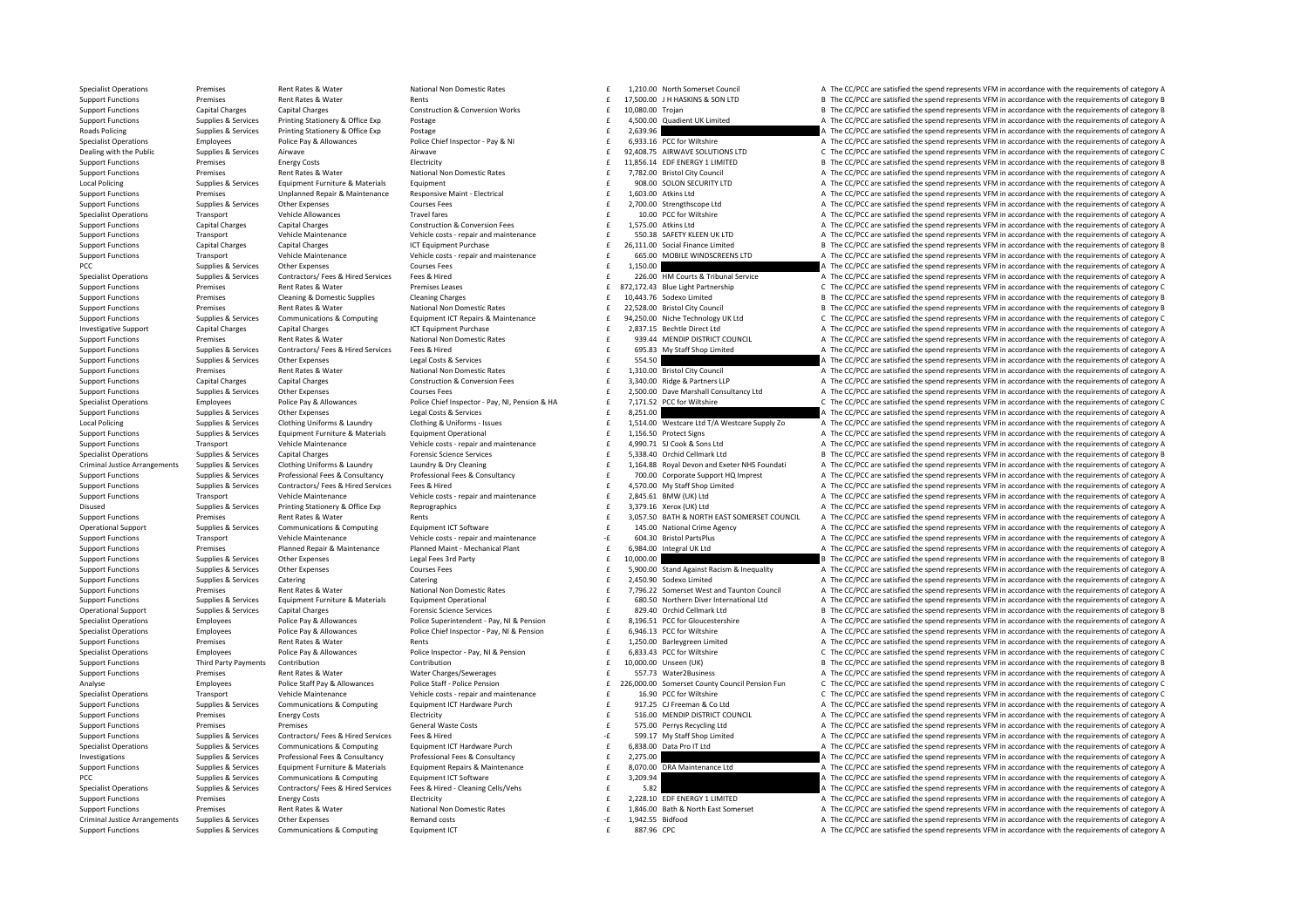Specialist Operations Premises Rent Rates & Water National Non Domestic Rates 1,210.00 North Somerset Council A The CC/PCC are satisfied the spend represents VFM in accordance with the requirements of category A Superments Support Functions Premises Rent Rates & Water Rents Rents Rents Rents Rents Rents 17,500.00 LH HASKINS & SON LTD B The CC/PCC are satisfied the spend represents VFM in accordance with the requirements of category B Support Functions Capital Charges Capital Charges Construction & Conversion Works 10,080.00 Trojan 10,080.00 Trojan B The CC/PCC are satisfied the spend represents VFM in accordance with the requirements of category B Supp Support Functions Support Functions Supplies A Supplies A The CC/PCC are satisfied the spend represents VFM in accordance with the requirements of category A The Critical A The CC/PCC are satisfied the spend represents VFM Roads Policing Supplies & Services Printing Stationery & Office Exp Postage Postage 2,639.96 2,639.96 2,639.96 2,639.96 2,639.96 2,639.96 2,639.96 2,639.96 2,639.96 2,639.96 2,693.16 2,693.16 2,693.16 2,693.16 2,693.16 2,6 Specialist Operations Employees Police Pay & Allowances Police Chief Inspector - Pay & NI Pay & Allowances Police Chief Inspector - Pay & NI E 6,933.16 PCC for Wiltshire AThe CC/PCC are satisfied the spend represents VFM i Dealing with the Public Supplies & Services Airwave Airwave Airwave Airwave Airwave Airwave Airwave Airwave Airwave Support For Support Functions LTD CONCC are satisfied the spend represents VFM in accordance with the requ Support Functions Premises Energy Costs Energy Costs Electricity Electricity 11,856.14 EDF ENERGY 1 LIMITED B The CC/PCC are satisfied the spend represents VFM in accordance with the requirements of category B Network In t Premises Rent Rates & Water Mational Non Domestic Rates Functions Premises Rent Rates Rent Rates Rates Rent Rates Rent Rates Rent Rates Rent Rates Rent Rates Rent Rates Rent Rates Rent Rates Rent Rates Rent Rates Rent Rate Local Policing Supplies & Services Equipment Furniture & Materials Equipment examples Equipment examples and the supplies a the spend represents VFM in accordance with the requirements of category A The CC/PCC are satisfie Support Functions Premises Unplanned Repair & Maintenance Responsive Maint - Electrical 1,603.00 Atkins Ltd 1,603.00 Atkins Ltd A The CC/PCC are satisfied the spend represents VFM in accordance with the requirements of cat Support Functions Supplies Services Other Expenses Courses Fees 2 200.00 Strengthscope Ltd A The CC/PCC are satisfied the spend represents VFM in accordance with the requirements of category A Specialist Operations Transport Vehicle Allowances Travel fares Travel fares and the community of the CC/PCC are satisfied the spend represents VFM in accordance with the requirements of category A Support Functions Capital Charges Capital Charges Construction & Conversion Fees 1,575.00 Atkins Ltd A The CC/PCC are satisfied the spend represents VFM in accordance with the requirements of category A Vehicle Antistan A of the control of the Maintenance (Separate of the Vehicle Maintenance Vehicle Only of Vehicle Costs - regair and maintenance of the S50.38 SAFETY KLEEN UKLTD A The CC/PCC are satisfied the spend represents VFM in accordan Support Functions Capital Charges Capital Charges ICT Equipment Purchase 26,111.00 Social Finance Limited B The CC/PCC are satisfied the spend represents VFM in accordance with the requirements of category B Vehicle Core c of the contract of the contract of the contract of the contract of the contract of the contract of the contract of the contract of the contract of the contract of the contract of the contract of the contract of the contrac PCC Supplies & Services Other Expenses Courses Fees Courses Fees Courses Fees and Courses Fees 1,150.00 E 1,150.00 A The CC/PCC are satisfied the spend represents VFM in accordance with the requirements of category A Suppl Supplies & Supplies & Supplies & Services Contractors/Fees & Hired Services Fees & Hired Services Fees & Hired<br>
Premises Premises Alexander Premises Lastes Premises Leases Premises Leases Premises Leases and E and the Came Premises Rent Rates & Water Premises Leases 872,172.43 Blue Light Partnership C The CC/PCC are satisfied the spend represents VFM in accordance with the requirements of category C Support Functions Premises Cleaning & Domestic Supplies Cleaning Charges Cleaning Charges Cleaning Charges Cleaning Charges Cleaning Charges Functions and the CC/PC are satisfied the spend represents VFM in accordance with Support Functions Premises Rent Rates & Water National Non Domestic Rates 2000 and Domestic Rates 2000 and Domestic Rates 2000 and Domestic Rates 2000 and Domestic Rates 2000 and Domestic Rates 2000 and Domestic Rates 2000 Supplies & Services Communications & Computing Equipment ICT Repairs & Maintenance and the Maintenance of the Maintenance of the CC/PCC are satisfied the spend represents VFM in accordance with the requirements of category Investigative Support Capital Charges Capital Charges Capital Charges 2,287.15 Bechtle Direct Ltd A The CC/PCC are satisfied the spend represents VFM in accordance with the requirements of category A Support Functions and Support Functions Premises Rent Rates & Water National Non Domestic Rates 939.44 £ MENDIP DISTRICT COUNCIL A The CC/PCC are satisfied the spend represents VFM in accordance with the requirements of category A Support Functions Supplies & Services Contractors/Fees & Hired Services Fees & Hired Fees Contractors/Fees & Hired Services Fees & Hired Fees & Hired Fees & Hired Fees & Hired Fees & Hired Fees and Feed Contractors/Fees Se Support Functions Supplies & Services Other Expenses Legal Costs & Services Legal Costs & Services Support Functions and the CC/PCC are satisfied the spend represents VFM in accordance with the requirements of category A S Support Functions Premises Rent Rates & Water National Non Domestic Rates 1,310.00 Bristol City Council A The CC/PCC are satisfied the spend represents VFM in accordance with the requirements of category A Construction & C Support Functions Capital Charges Capital Charges Construction & Conversion Fees 3,340.00 Ridge & Partners LLP A The CC/PCC are satisfied the spend represents VFM in accordance with the requirements of category A Courses C Support Functions Support Functions Or A The CC/PCC are satisfied the spend represents VFM in accordance with the requirements of category A Curses Courses Fees and represents VFM in accordance with the requirements of cat Specialist Operations Specialist Operations Fundatores Police Pay & Allowances Police Chief Inspector - Pay NL Pension & HA F 7.171.52 PCC for Wiltshire C. The CC/PCC are satisfied the spend represents VFM in accordance wi Support Functions Supplies & Services Other Expenses Legal Costs & Services Legal Costs & Services Legal Costs & Services Costs & Services Support Engage and the CC/PCC are satisfied the spend represents VFM in accordance Contract Suppliers & Services Clothing Uniforms & Laundry Clothing Bundre Clothing Bundre Clothing Bundre Clothing Bundre Clothing Bundre Clothing Bundre Clothing Bundre Clothing Bundre Clothing Bundre Clothing Uniforms - Supplies & Supplies & Supplies & Supplies & Device of Equipment Furniture & Materials Equipment Derational experiments of category and maintenance and the support of the CC/PCC are satisfied the spend represents VFM in acc Transport Vehicle Maintenance Vehicle costs - repair and maintenance and the season of the CC/PCC are satisfied the spend represents VFM in accordance with the requirements of category A Supplies & Services Capital Charges Forensic Science Services and Charges Forensic Science Services Forensic Science Services and Development of Charges of the CC/PCC are satisfied the spend represents VFM in accordance wi Criminal Justice Arrangements Supplies & Services Clothing Uniforms & Laundry Laundry Laundry & Dry Cleaning Minimal Durang Durang Supplies & Services Clothing Uniforms & Laundry Mustum Mustum Durang Durang Service and Exe Supplies & Supplies & Supplies & Supplies Professional Fees & Consultancy Professional Fees & Consultancy Professional Fees & Consultancy Professional Fees & Consultancy Consultancy and the media of the CC/PCC are satisfie Supplies & Services Contractors/Fees & Hired Services Fees & Hired Fees & Hired Fees & Hired Fees & Hired Fees & Hired Fees & Hired Fees & Hired Fees & Hired Fees & Hired Fees & Hired Fees & Hired Fees & Hired Fees & Hired Support Transport Vehicle Maintenance Vehicle costs - repair and maintenance 2,845.61 EMW (UK) Ltd A The CC/PCC are satisfied the spend represents VFM in accordance with the requirements of category A Support of the Suppor Disused Supplies & Services Printing Stationery & Office Exp Reprographics and the station of category A The CC/PCC are satisfied the spend represents VFM in accordance with the requirements of category A Support Functions Premises Rent Rates & Water Rents Rents Rents Rents Section 2,057.50 BATH & NORTH EAST SOMERSET COUNCIL A The CC/PCC are satisfied the spend represents VFM in accordance with the requirements of category Comparison Comparison Comparison Comparison Comparison Comparison Comparison Comparison Comparison Comparison Comparison Comparison Comparison Comparison Comparison Comparison Comparison Comparison Comparison Comparison Co Support Functions Transport Vehicle Maintenance Vehicle costs - repair and maintenance Chicle costs - repair and maintenance Chicle Chicle costs - repair and maintenance - Table 20130 Bristol PartsPlus A The CC/PCC are sat Premises Planned Repair & Maintenance Planned Maint-Mechanical Plant Mexical Plant and the Support Euclid and the CC/PCC are satisfied the spend represents VFM in accordance with the requirements of category A support Func Support Functions Supplies & Services Other Expenses Legal Fees 3rd Party 10,000.00 E 10,000.00 B The CC/PCC are satisfied the spend represents VFM in accordance with the requirements of category B Support Functions Supplies & Services Other Expenses Courses Fees 5 £ Stand Against Racism & Inequality A The CC/PCC are sat ,900.00 isfied the spend represents VFM in accordance with the requirements of category A Support Functions Supplies & Services Catering Catering Catering Catering Catering Catering Catering Catering Catering Catering Catering Catering a The CC/PC are satisfied the spend represents VFM in accordance with the re Premises Bent Rates & Water Mational Non Domestic Rates and the material material of the CC/PCC are satisfied the spend represents VFM in accordance with the requirements of category A<br>Support Functions Supplies & Services Support Functions Supplies & Services Equipment Furniture & Materials Equipment Operational experiment of category A<br>Consider of the Support of the CCPCC are satisfied the spend represents VFM in accordance with the requir Operational Support Supplies & Services Capital Charges Forensic Science Services 829.40 £ Orchid Cellmark Ltd <sup>B</sup> The CC/PCC are satisfied the spend represents VFM in accordance with the requirements of category B Specialist Operations Employees Police Pay & Allowances Police Superintendent - Pay, NI & Pension E 8,196.51 PCC for Gloucestershire A The CC/PCC are satisfied the spend represents VFM in accordance with the requirements o Specialist Operations Employees Police Pay & Allowances Police Chief Inspector - Pay, NI & Pension E 6,946.13 PCC for Wiltshire A The CC/PCC are satisfied the spend represents VFM in accordance with the requirements of cat Support Functions Premises Rent Rates & Water Rents Rents Rents Rents Rents Rents Rents Rents 1,250.00 Barleygreen Limited A The CC/PCC are satisfied the spend represents VFM in accordance with the requirements of category Specialist Operations Employees Police Pay & Allowances Police Inspector - Pay, NI & Pension Englisher CONTENT CONSULTER SALLO CONTENT CONTENT CONTENT CONTENT CONTENT CONTENT CONTENT ON CONTENTING CONTENT ON THE CONTENT ON Third Party Payments Contribution Contribution Contribution 10 10 100000 Unseen (UK) B The CC/PCC are satisfied the spend represents VFM in accordance with the requirements of category B Support Functions Premises Rent Rates & Water Water Water Charges/Sewerages 557.73 Water2Business A The CC/PCC are satisfied the spend represents VFM in accordance with the requirements of category A Employees Police Staff Pay & Allowances Police Staff - Police Pension Police Pension and the C26,000.00 Somerset County Council Pension Fun CThe CC/PCC are satisfied the spend represents VFM in accordance with the requirem Specialist Operations Transport Vehicle Maintenance Vehicle Control Vehicle conts creatized maintenance Vehicle conts creatized maintenance of the COPC for Wiltshire C. The COPC are satisfied the spend represents VEM in ac Support Functions Supplies & Services Communications & Computing Equipment ICT Hardware Purch and the service of the CC/PCC are satisfied the spend represents VFM in accordance with the requirements of category A Electrici Premises Energy Costs Electricity Electricity 516.00 NENDIP DISTRICT COUNCIL A The CC/PCC are satisfied the spend represents VFM in accordance with the requirements of category A Support Functions Premises Premises Premises Premises Contractors/Fees & Hired Services Fees & Hired Waste Costs Costs and Costs and the CC/PCC are satisfied the spend represents VFM in accordance with the requirements of Support Functions Supplies & Services Contractors/Fees & Hired Fees & Hired Fees & Hired Fees & Hired Fees & Hired Fees & Hired Fees & Hired Fees & Hired Fees & Hired Fees & Hired Fees & Hired Fees & Hired Fees & Hired Fee Suppliers Complete Suppliers of category and the computations of category and the computations of category computers and the computations of category and the computers of category and the computers of category and the comp Investigations Supplies & Services Professional Fees & Consultancy Professional Fees & Consultancy Professional Fees & Consultancy Consultancy and the 2,275.00 and the CC/PCC are satisfied the spend represents VFM in accor Supplies & Services Equipment Furniture & Materials Equipment Repairs & Maintenance and the Support Functions American Americans of category A The CC/PCC are satisfied the spend represents VFM in accordance with the requir PCC Supplies & Services Communications & Computing Equipment ICT Software extra the stategory A The CC/PCC are satisfied the spend represents VFM in accordance with the requirements of category A Supplies & Services Contractors/Fees & Hired Services Fees & Hired - Cleaning Cells/Vehs and the Sample of the CCPCC are satisfied the spend represents VFM in accordance with the requirements of category A Support Function Support Functions Premises Functions Energy Costs Electricity Electricity 2,228.10 EDE ENERGY 1 LIMITED A The CC/PCC are satisfied the spend represents VFM in accordance with the requirements of category A Support Functions Premises Rent Rates & Water National Non Domestic Rates 1,846.00 Bath & North East Somerset A The CC/PCC are satisfied the spend represents VFM in accordance with the requirements of category A Criminal J Criminal Justice Arrangements Supplies & Services Other Expenses Remand costs Remand costs 1,942.55 Bidfood A The CC/PCC are satisfied the spend represents VFM in accordance with the requirements of category A Support Functions Supplies & Services Communications & Computing Equipment ICT examples are a sample of the samples and the CC/PCC are satisfied the spend represents VFM in accordance with the requirements of category A